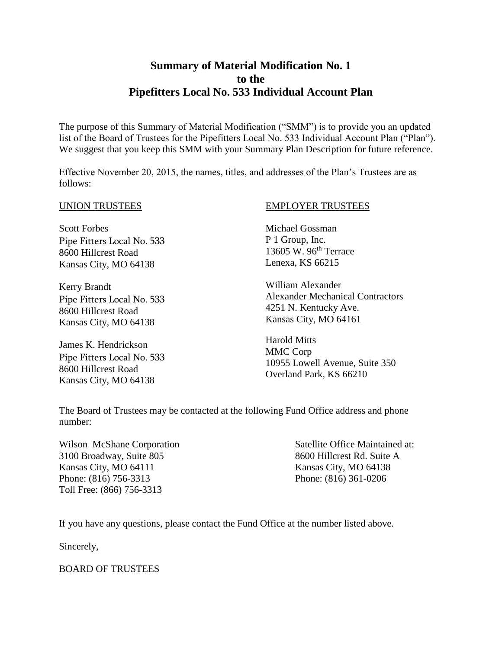## **Summary of Material Modification No. 1 to the Pipefitters Local No. 533 Individual Account Plan**

The purpose of this Summary of Material Modification ("SMM") is to provide you an updated list of the Board of Trustees for the Pipefitters Local No. 533 Individual Account Plan ("Plan"). We suggest that you keep this SMM with your Summary Plan Description for future reference.

Effective November 20, 2015, the names, titles, and addresses of the Plan's Trustees are as follows:

#### UNION TRUSTEES

Scott Forbes Pipe Fitters Local No. 533 8600 Hillcrest Road Kansas City, MO 64138

Kerry Brandt Pipe Fitters Local No. 533 8600 Hillcrest Road Kansas City, MO 64138

James K. Hendrickson Pipe Fitters Local No. 533 8600 Hillcrest Road Kansas City, MO 64138

#### EMPLOYER TRUSTEES

Michael Gossman P 1 Group, Inc. 13605 W. 96th Terrace Lenexa, KS 66215

William Alexander Alexander Mechanical Contractors 4251 N. Kentucky Ave. Kansas City, MO 64161

Harold Mitts MMC Corp 10955 Lowell Avenue, Suite 350 Overland Park, KS 66210

The Board of Trustees may be contacted at the following Fund Office address and phone number:

Wilson–McShane Corporation Satellite Office Maintained at: 3100 Broadway, Suite 805 8600 Hillcrest Rd. Suite A Kansas City, MO 64111 Kansas City, MO 64138 Phone: (816) 756-3313 Phone: (816) 361-0206 Toll Free: (866) 756-3313

If you have any questions, please contact the Fund Office at the number listed above.

Sincerely,

BOARD OF TRUSTEES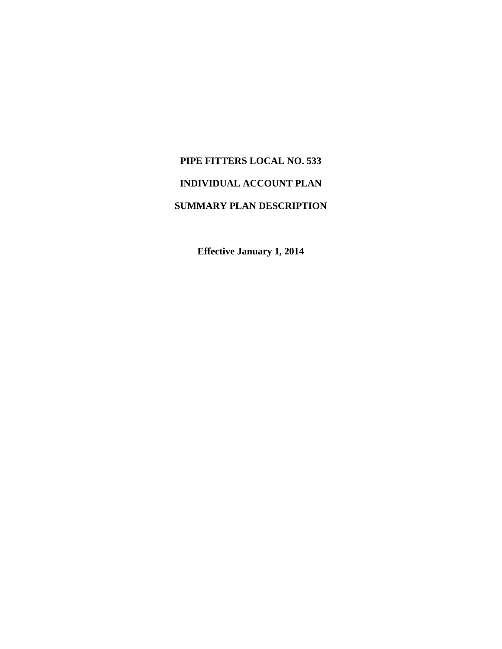# **PIPE FITTERS LOCAL NO. 533 INDIVIDUAL ACCOUNT PLAN SUMMARY PLAN DESCRIPTION**

**Effective January 1, 2014**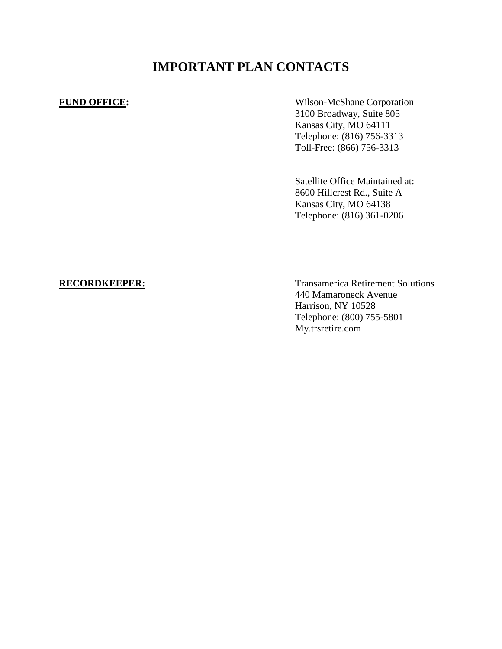# **IMPORTANT PLAN CONTACTS**

**FUND OFFICE:** Wilson-McShane Corporation 3100 Broadway, Suite 805 Kansas City, MO 64111 Telephone: (816) 756-3313 Toll-Free: (866) 756-3313

> Satellite Office Maintained at: 8600 Hillcrest Rd., Suite A Kansas City, MO 64138 Telephone: (816) 361-0206

**RECORDKEEPER:** Transamerica Retirement Solutions 440 Mamaroneck Avenue Harrison, NY 10528 Telephone: (800) 755-5801 My.trsretire.com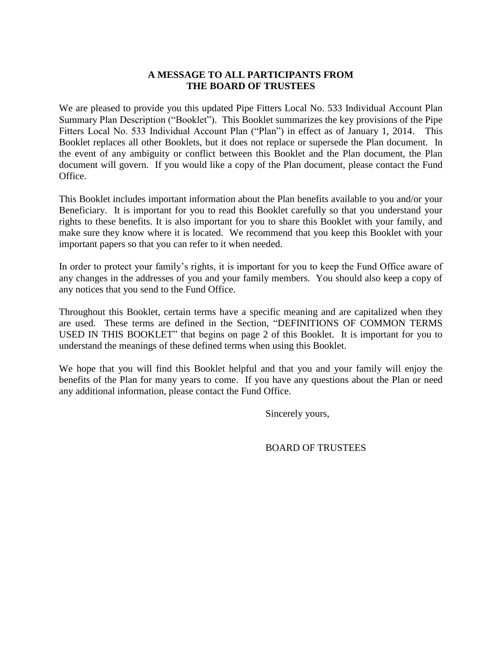#### **A MESSAGE TO ALL PARTICIPANTS FROM THE BOARD OF TRUSTEES**

We are pleased to provide you this updated Pipe Fitters Local No. 533 Individual Account Plan Summary Plan Description ("Booklet"). This Booklet summarizes the key provisions of the Pipe Fitters Local No. 533 Individual Account Plan ("Plan") in effect as of January 1, 2014. This Booklet replaces all other Booklets, but it does not replace or supersede the Plan document. In the event of any ambiguity or conflict between this Booklet and the Plan document, the Plan document will govern. If you would like a copy of the Plan document, please contact the Fund Office.

This Booklet includes important information about the Plan benefits available to you and/or your Beneficiary. It is important for you to read this Booklet carefully so that you understand your rights to these benefits. It is also important for you to share this Booklet with your family, and make sure they know where it is located. We recommend that you keep this Booklet with your important papers so that you can refer to it when needed.

In order to protect your family's rights, it is important for you to keep the Fund Office aware of any changes in the addresses of you and your family members. You should also keep a copy of any notices that you send to the Fund Office.

Throughout this Booklet, certain terms have a specific meaning and are capitalized when they are used. These terms are defined in the Section, "DEFINITIONS OF COMMON TERMS USED IN THIS BOOKLET" that begins on page 2 of this Booklet. It is important for you to understand the meanings of these defined terms when using this Booklet.

We hope that you will find this Booklet helpful and that you and your family will enjoy the benefits of the Plan for many years to come. If you have any questions about the Plan or need any additional information, please contact the Fund Office.

Sincerely yours,

BOARD OF TRUSTEES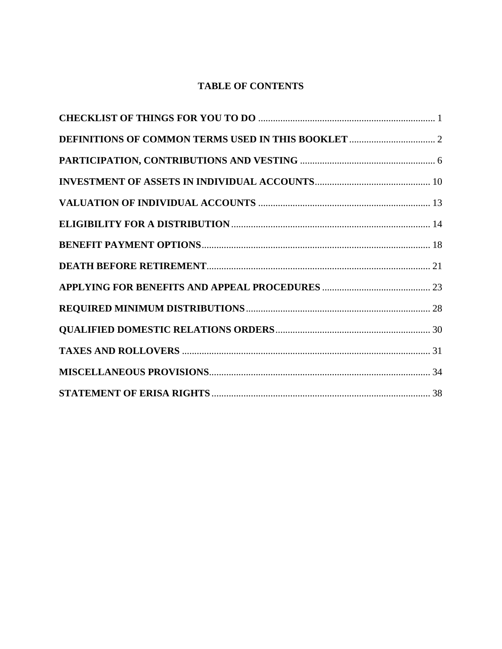### **TABLE OF CONTENTS**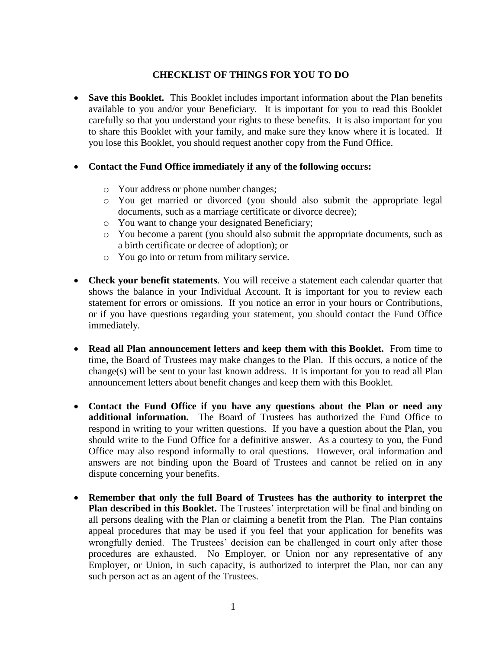### **CHECKLIST OF THINGS FOR YOU TO DO**

• **Save this Booklet.** This Booklet includes important information about the Plan benefits available to you and/or your Beneficiary. It is important for you to read this Booklet carefully so that you understand your rights to these benefits. It is also important for you to share this Booklet with your family, and make sure they know where it is located. If you lose this Booklet, you should request another copy from the Fund Office.

#### **Contact the Fund Office immediately if any of the following occurs:**

- o Your address or phone number changes;
- o You get married or divorced (you should also submit the appropriate legal documents, such as a marriage certificate or divorce decree);
- o You want to change your designated Beneficiary;
- o You become a parent (you should also submit the appropriate documents, such as a birth certificate or decree of adoption); or
- o You go into or return from military service.
- **Check your benefit statements**. You will receive a statement each calendar quarter that shows the balance in your Individual Account. It is important for you to review each statement for errors or omissions. If you notice an error in your hours or Contributions, or if you have questions regarding your statement, you should contact the Fund Office immediately.
- **Read all Plan announcement letters and keep them with this Booklet.** From time to time, the Board of Trustees may make changes to the Plan.If this occurs, a notice of the change(s) will be sent to your last known address. It is important for you to read all Plan announcement letters about benefit changes and keep them with this Booklet.
- **Contact the Fund Office if you have any questions about the Plan or need any additional information.** The Board of Trustees has authorized the Fund Office to respond in writing to your written questions. If you have a question about the Plan, you should write to the Fund Office for a definitive answer. As a courtesy to you, the Fund Office may also respond informally to oral questions. However, oral information and answers are not binding upon the Board of Trustees and cannot be relied on in any dispute concerning your benefits.
- **Remember that only the full Board of Trustees has the authority to interpret the Plan described in this Booklet.** The Trustees' interpretation will be final and binding on all persons dealing with the Plan or claiming a benefit from the Plan. The Plan contains appeal procedures that may be used if you feel that your application for benefits was wrongfully denied. The Trustees' decision can be challenged in court only after those procedures are exhausted. No Employer, or Union nor any representative of any Employer, or Union, in such capacity, is authorized to interpret the Plan, nor can any such person act as an agent of the Trustees.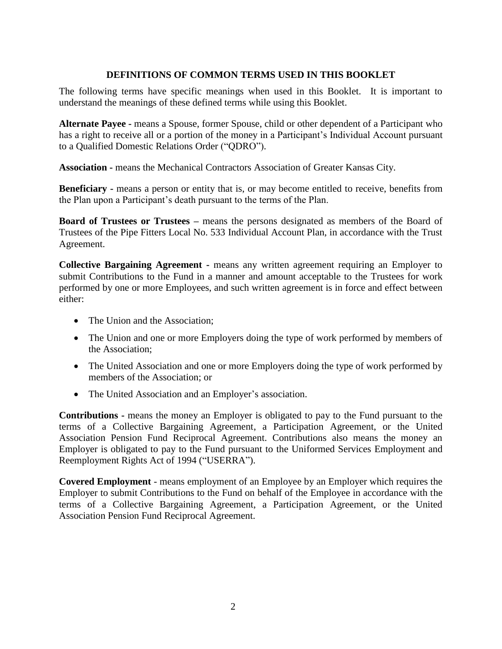#### **DEFINITIONS OF COMMON TERMS USED IN THIS BOOKLET**

The following terms have specific meanings when used in this Booklet. It is important to understand the meanings of these defined terms while using this Booklet.

**Alternate Payee -** means a Spouse, former Spouse, child or other dependent of a Participant who has a right to receive all or a portion of the money in a Participant's Individual Account pursuant to a Qualified Domestic Relations Order ("QDRO").

**Association -** means the Mechanical Contractors Association of Greater Kansas City.

**Beneficiary -** means a person or entity that is, or may become entitled to receive, benefits from the Plan upon a Participant's death pursuant to the terms of the Plan.

**Board of Trustees or Trustees –** means the persons designated as members of the Board of Trustees of the Pipe Fitters Local No. 533 Individual Account Plan, in accordance with the Trust Agreement.

**Collective Bargaining Agreement -** means any written agreement requiring an Employer to submit Contributions to the Fund in a manner and amount acceptable to the Trustees for work performed by one or more Employees, and such written agreement is in force and effect between either:

- The Union and the Association:
- The Union and one or more Employers doing the type of work performed by members of the Association;
- The United Association and one or more Employers doing the type of work performed by members of the Association; or
- The United Association and an Employer's association.

**Contributions -** means the money an Employer is obligated to pay to the Fund pursuant to the terms of a Collective Bargaining Agreement, a Participation Agreement, or the United Association Pension Fund Reciprocal Agreement. Contributions also means the money an Employer is obligated to pay to the Fund pursuant to the Uniformed Services Employment and Reemployment Rights Act of 1994 ("USERRA").

**Covered Employment** - means employment of an Employee by an Employer which requires the Employer to submit Contributions to the Fund on behalf of the Employee in accordance with the terms of a Collective Bargaining Agreement, a Participation Agreement, or the United Association Pension Fund Reciprocal Agreement.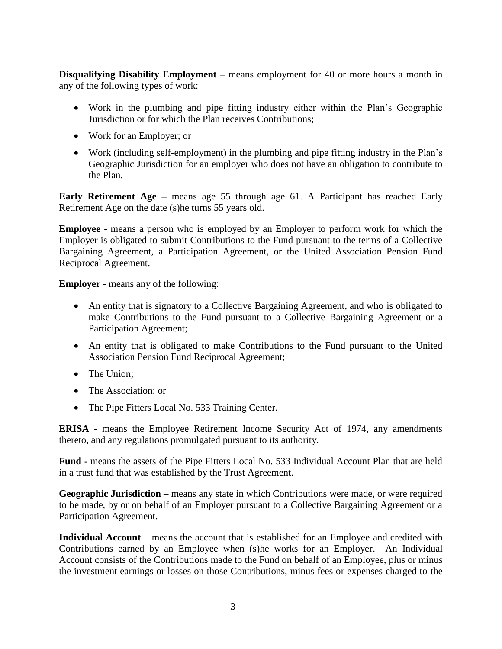**Disqualifying Disability Employment –** means employment for 40 or more hours a month in any of the following types of work:

- Work in the plumbing and pipe fitting industry either within the Plan's Geographic Jurisdiction or for which the Plan receives Contributions;
- Work for an Employer; or
- Work (including self-employment) in the plumbing and pipe fitting industry in the Plan's Geographic Jurisdiction for an employer who does not have an obligation to contribute to the Plan.

**Early Retirement Age –** means age 55 through age 61. A Participant has reached Early Retirement Age on the date (s)he turns 55 years old.

**Employee -** means a person who is employed by an Employer to perform work for which the Employer is obligated to submit Contributions to the Fund pursuant to the terms of a Collective Bargaining Agreement, a Participation Agreement, or the United Association Pension Fund Reciprocal Agreement.

**Employer -** means any of the following:

- An entity that is signatory to a Collective Bargaining Agreement, and who is obligated to make Contributions to the Fund pursuant to a Collective Bargaining Agreement or a Participation Agreement;
- An entity that is obligated to make Contributions to the Fund pursuant to the United Association Pension Fund Reciprocal Agreement;
- The Union:
- The Association: or
- The Pipe Fitters Local No. 533 Training Center.

**ERISA -** means the Employee Retirement Income Security Act of 1974, any amendments thereto, and any regulations promulgated pursuant to its authority.

**Fund -** means the assets of the Pipe Fitters Local No. 533 Individual Account Plan that are held in a trust fund that was established by the Trust Agreement.

**Geographic Jurisdiction –** means any state in which Contributions were made, or were required to be made, by or on behalf of an Employer pursuant to a Collective Bargaining Agreement or a Participation Agreement.

**Individual Account** – means the account that is established for an Employee and credited with Contributions earned by an Employee when (s)he works for an Employer. An Individual Account consists of the Contributions made to the Fund on behalf of an Employee, plus or minus the investment earnings or losses on those Contributions, minus fees or expenses charged to the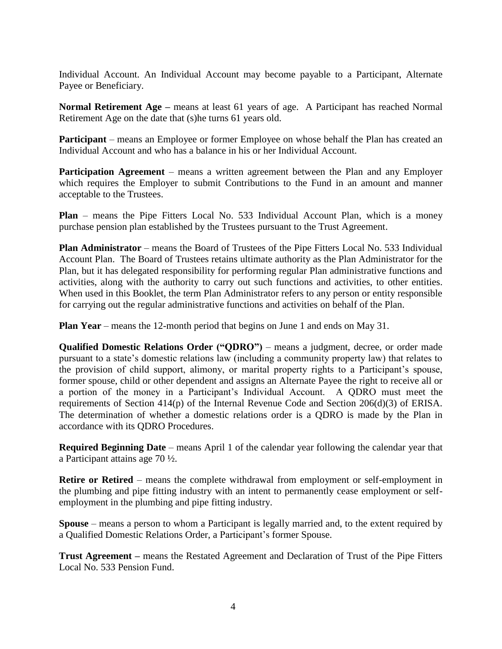Individual Account. An Individual Account may become payable to a Participant, Alternate Payee or Beneficiary.

**Normal Retirement Age –** means at least 61 years of age. A Participant has reached Normal Retirement Age on the date that (s)he turns 61 years old.

**Participant** – means an Employee or former Employee on whose behalf the Plan has created an Individual Account and who has a balance in his or her Individual Account.

**Participation Agreement** – means a written agreement between the Plan and any Employer which requires the Employer to submit Contributions to the Fund in an amount and manner acceptable to the Trustees.

**Plan** – means the Pipe Fitters Local No. 533 Individual Account Plan, which is a money purchase pension plan established by the Trustees pursuant to the Trust Agreement.

**Plan Administrator** – means the Board of Trustees of the Pipe Fitters Local No. 533 Individual Account Plan. The Board of Trustees retains ultimate authority as the Plan Administrator for the Plan, but it has delegated responsibility for performing regular Plan administrative functions and activities, along with the authority to carry out such functions and activities, to other entities. When used in this Booklet, the term Plan Administrator refers to any person or entity responsible for carrying out the regular administrative functions and activities on behalf of the Plan.

**Plan Year** – means the 12-month period that begins on June 1 and ends on May 31.

**Qualified Domestic Relations Order ("QDRO")** – means a judgment, decree, or order made pursuant to a state's domestic relations law (including a community property law) that relates to the provision of child support, alimony, or marital property rights to a Participant's spouse, former spouse, child or other dependent and assigns an Alternate Payee the right to receive all or a portion of the money in a Participant's Individual Account. A QDRO must meet the requirements of Section 414(p) of the Internal Revenue Code and Section 206(d)(3) of ERISA. The determination of whether a domestic relations order is a QDRO is made by the Plan in accordance with its QDRO Procedures.

**Required Beginning Date** – means April 1 of the calendar year following the calendar year that a Participant attains age 70 ½.

**Retire or Retired** – means the complete withdrawal from employment or self-employment in the plumbing and pipe fitting industry with an intent to permanently cease employment or selfemployment in the plumbing and pipe fitting industry.

**Spouse** – means a person to whom a Participant is legally married and, to the extent required by a Qualified Domestic Relations Order, a Participant's former Spouse.

**Trust Agreement –** means the Restated Agreement and Declaration of Trust of the Pipe Fitters Local No. 533 Pension Fund.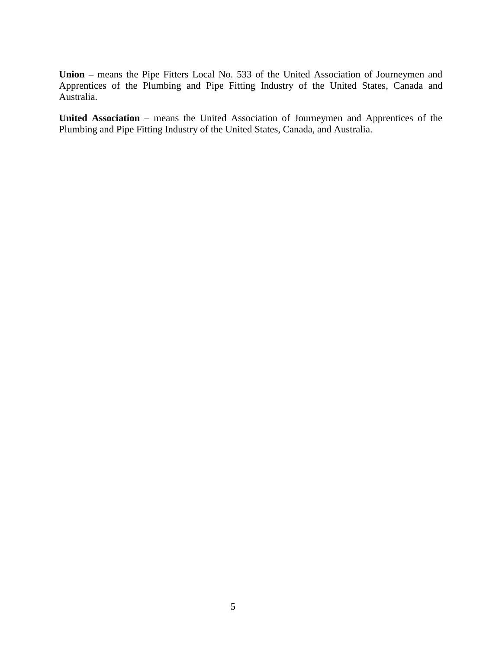**Union –** means the Pipe Fitters Local No. 533 of the United Association of Journeymen and Apprentices of the Plumbing and Pipe Fitting Industry of the United States, Canada and Australia.

**United Association** – means the United Association of Journeymen and Apprentices of the Plumbing and Pipe Fitting Industry of the United States, Canada, and Australia.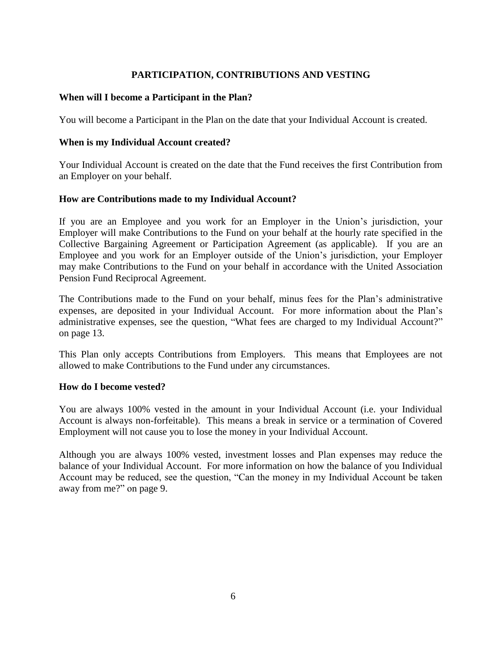### **PARTICIPATION, CONTRIBUTIONS AND VESTING**

#### **When will I become a Participant in the Plan?**

You will become a Participant in the Plan on the date that your Individual Account is created.

#### **When is my Individual Account created?**

Your Individual Account is created on the date that the Fund receives the first Contribution from an Employer on your behalf.

#### **How are Contributions made to my Individual Account?**

If you are an Employee and you work for an Employer in the Union's jurisdiction, your Employer will make Contributions to the Fund on your behalf at the hourly rate specified in the Collective Bargaining Agreement or Participation Agreement (as applicable). If you are an Employee and you work for an Employer outside of the Union's jurisdiction, your Employer may make Contributions to the Fund on your behalf in accordance with the United Association Pension Fund Reciprocal Agreement.

The Contributions made to the Fund on your behalf, minus fees for the Plan's administrative expenses, are deposited in your Individual Account. For more information about the Plan's administrative expenses, see the question, "What fees are charged to my Individual Account?" on page 13.

This Plan only accepts Contributions from Employers. This means that Employees are not allowed to make Contributions to the Fund under any circumstances.

#### **How do I become vested?**

You are always 100% vested in the amount in your Individual Account (i.e. your Individual Account is always non-forfeitable). This means a break in service or a termination of Covered Employment will not cause you to lose the money in your Individual Account.

Although you are always 100% vested, investment losses and Plan expenses may reduce the balance of your Individual Account. For more information on how the balance of you Individual Account may be reduced, see the question, "Can the money in my Individual Account be taken away from me?" on page 9.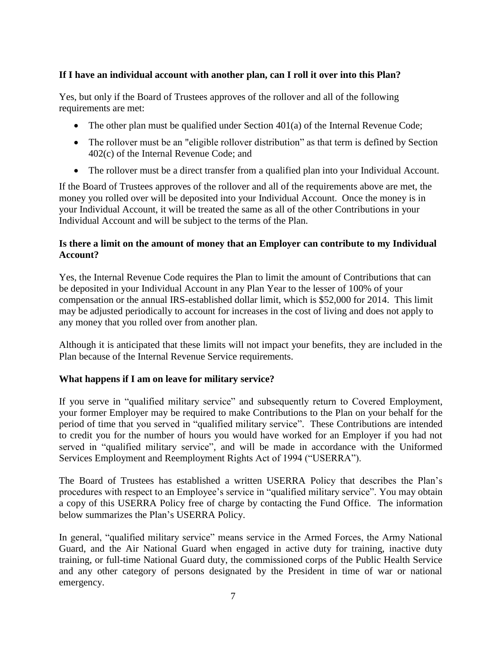#### **If I have an individual account with another plan, can I roll it over into this Plan?**

Yes, but only if the Board of Trustees approves of the rollover and all of the following requirements are met:

- The other plan must be qualified under Section  $401(a)$  of the Internal Revenue Code;
- The rollover must be an "eligible rollover distribution" as that term is defined by Section 402(c) of the Internal Revenue Code; and
- The rollover must be a direct transfer from a qualified plan into your Individual Account.

If the Board of Trustees approves of the rollover and all of the requirements above are met, the money you rolled over will be deposited into your Individual Account. Once the money is in your Individual Account, it will be treated the same as all of the other Contributions in your Individual Account and will be subject to the terms of the Plan.

#### **Is there a limit on the amount of money that an Employer can contribute to my Individual Account?**

Yes, the Internal Revenue Code requires the Plan to limit the amount of Contributions that can be deposited in your Individual Account in any Plan Year to the lesser of 100% of your compensation or the annual IRS-established dollar limit, which is \$52,000 for 2014. This limit may be adjusted periodically to account for increases in the cost of living and does not apply to any money that you rolled over from another plan.

Although it is anticipated that these limits will not impact your benefits, they are included in the Plan because of the Internal Revenue Service requirements.

#### **What happens if I am on leave for military service?**

If you serve in "qualified military service" and subsequently return to Covered Employment, your former Employer may be required to make Contributions to the Plan on your behalf for the period of time that you served in "qualified military service". These Contributions are intended to credit you for the number of hours you would have worked for an Employer if you had not served in "qualified military service", and will be made in accordance with the Uniformed Services Employment and Reemployment Rights Act of 1994 ("USERRA").

The Board of Trustees has established a written USERRA Policy that describes the Plan's procedures with respect to an Employee's service in "qualified military service". You may obtain a copy of this USERRA Policy free of charge by contacting the Fund Office. The information below summarizes the Plan's USERRA Policy.

In general, "qualified military service" means service in the Armed Forces, the Army National Guard, and the Air National Guard when engaged in active duty for training, inactive duty training, or full-time National Guard duty, the commissioned corps of the Public Health Service and any other category of persons designated by the President in time of war or national emergency.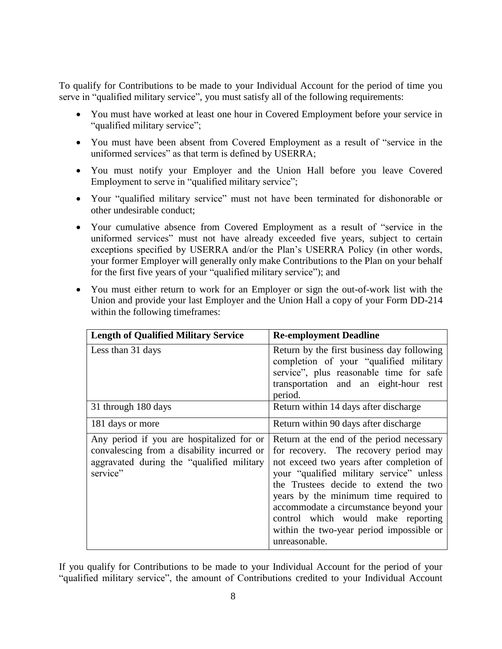To qualify for Contributions to be made to your Individual Account for the period of time you serve in "qualified military service", you must satisfy all of the following requirements:

- You must have worked at least one hour in Covered Employment before your service in "qualified military service";
- You must have been absent from Covered Employment as a result of "service in the uniformed services" as that term is defined by USERRA;
- You must notify your Employer and the Union Hall before you leave Covered Employment to serve in "qualified military service";
- Your "qualified military service" must not have been terminated for dishonorable or other undesirable conduct;
- Your cumulative absence from Covered Employment as a result of "service in the uniformed services" must not have already exceeded five years, subject to certain exceptions specified by USERRA and/or the Plan's USERRA Policy (in other words, your former Employer will generally only make Contributions to the Plan on your behalf for the first five years of your "qualified military service"); and
- You must either return to work for an Employer or sign the out-of-work list with the Union and provide your last Employer and the Union Hall a copy of your Form DD-214 within the following timeframes:

| <b>Length of Qualified Military Service</b>                                                                                                      | <b>Re-employment Deadline</b>                                                                                                                                                                                                                                                                                                                                                                             |
|--------------------------------------------------------------------------------------------------------------------------------------------------|-----------------------------------------------------------------------------------------------------------------------------------------------------------------------------------------------------------------------------------------------------------------------------------------------------------------------------------------------------------------------------------------------------------|
| Less than 31 days                                                                                                                                | Return by the first business day following<br>completion of your "qualified military<br>service", plus reasonable time for safe<br>transportation and an eight-hour rest<br>period.                                                                                                                                                                                                                       |
| 31 through 180 days                                                                                                                              | Return within 14 days after discharge                                                                                                                                                                                                                                                                                                                                                                     |
| 181 days or more                                                                                                                                 | Return within 90 days after discharge                                                                                                                                                                                                                                                                                                                                                                     |
| Any period if you are hospitalized for or<br>convalescing from a disability incurred or<br>aggravated during the "qualified military<br>service" | Return at the end of the period necessary<br>for recovery. The recovery period may<br>not exceed two years after completion of<br>your "qualified military service" unless<br>the Trustees decide to extend the two<br>years by the minimum time required to<br>accommodate a circumstance beyond your<br>control which would make reporting<br>within the two-year period impossible or<br>unreasonable. |

If you qualify for Contributions to be made to your Individual Account for the period of your "qualified military service", the amount of Contributions credited to your Individual Account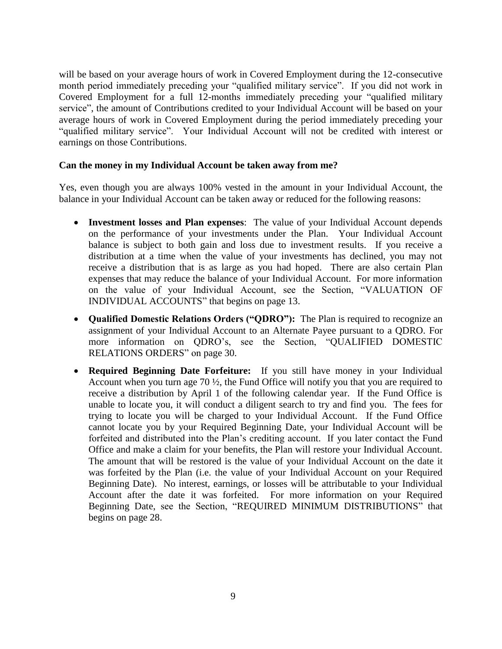will be based on your average hours of work in Covered Employment during the 12-consecutive month period immediately preceding your "qualified military service". If you did not work in Covered Employment for a full 12-months immediately preceding your "qualified military service", the amount of Contributions credited to your Individual Account will be based on your average hours of work in Covered Employment during the period immediately preceding your "qualified military service". Your Individual Account will not be credited with interest or earnings on those Contributions.

#### **Can the money in my Individual Account be taken away from me?**

Yes, even though you are always 100% vested in the amount in your Individual Account, the balance in your Individual Account can be taken away or reduced for the following reasons:

- **Investment losses and Plan expenses**: The value of your Individual Account depends on the performance of your investments under the Plan. Your Individual Account balance is subject to both gain and loss due to investment results. If you receive a distribution at a time when the value of your investments has declined, you may not receive a distribution that is as large as you had hoped. There are also certain Plan expenses that may reduce the balance of your Individual Account. For more information on the value of your Individual Account, see the Section, "VALUATION OF INDIVIDUAL ACCOUNTS" that begins on page 13.
- **Qualified Domestic Relations Orders ("QDRO"):** The Plan is required to recognize an assignment of your Individual Account to an Alternate Payee pursuant to a QDRO. For more information on QDRO's, see the Section, "QUALIFIED DOMESTIC RELATIONS ORDERS" on page 30.
- **Required Beginning Date Forfeiture:** If you still have money in your Individual Account when you turn age 70 ½, the Fund Office will notify you that you are required to receive a distribution by April 1 of the following calendar year. If the Fund Office is unable to locate you, it will conduct a diligent search to try and find you. The fees for trying to locate you will be charged to your Individual Account. If the Fund Office cannot locate you by your Required Beginning Date, your Individual Account will be forfeited and distributed into the Plan's crediting account. If you later contact the Fund Office and make a claim for your benefits, the Plan will restore your Individual Account. The amount that will be restored is the value of your Individual Account on the date it was forfeited by the Plan (i.e. the value of your Individual Account on your Required Beginning Date). No interest, earnings, or losses will be attributable to your Individual Account after the date it was forfeited. For more information on your Required Beginning Date, see the Section, "REQUIRED MINIMUM DISTRIBUTIONS" that begins on page 28.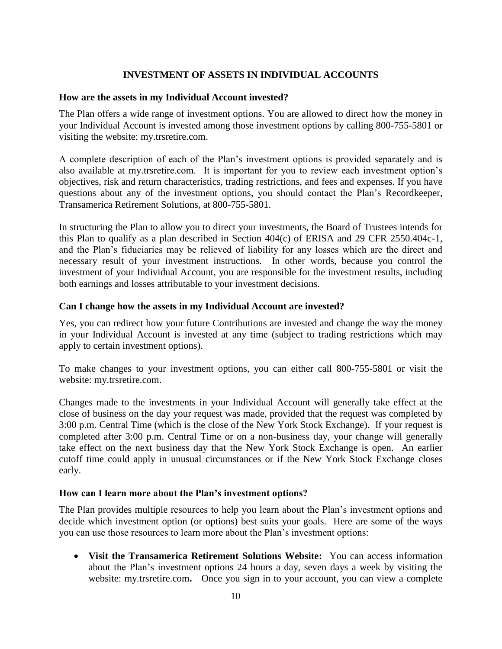### **INVESTMENT OF ASSETS IN INDIVIDUAL ACCOUNTS**

#### **How are the assets in my Individual Account invested?**

The Plan offers a wide range of investment options. You are allowed to direct how the money in your Individual Account is invested among those investment options by calling 800-755-5801 or visiting the website: my.trsretire.com.

A complete description of each of the Plan's investment options is provided separately and is also available at my.trsretire.com. It is important for you to review each investment option's objectives, risk and return characteristics, trading restrictions, and fees and expenses. If you have questions about any of the investment options, you should contact the Plan's Recordkeeper, Transamerica Retirement Solutions, at 800-755-5801.

In structuring the Plan to allow you to direct your investments, the Board of Trustees intends for this Plan to qualify as a plan described in Section 404(c) of ERISA and 29 CFR 2550.404c-1, and the Plan's fiduciaries may be relieved of liability for any losses which are the direct and necessary result of your investment instructions. In other words, because you control the investment of your Individual Account, you are responsible for the investment results, including both earnings and losses attributable to your investment decisions.

#### **Can I change how the assets in my Individual Account are invested?**

Yes, you can redirect how your future Contributions are invested and change the way the money in your Individual Account is invested at any time (subject to trading restrictions which may apply to certain investment options).

To make changes to your investment options, you can either call 800-755-5801 or visit the website: my.trsretire.com.

Changes made to the investments in your Individual Account will generally take effect at the close of business on the day your request was made, provided that the request was completed by 3:00 p.m. Central Time (which is the close of the New York Stock Exchange). If your request is completed after 3:00 p.m. Central Time or on a non-business day, your change will generally take effect on the next business day that the New York Stock Exchange is open. An earlier cutoff time could apply in unusual circumstances or if the New York Stock Exchange closes early.

#### **How can I learn more about the Plan's investment options?**

The Plan provides multiple resources to help you learn about the Plan's investment options and decide which investment option (or options) best suits your goals. Here are some of the ways you can use those resources to learn more about the Plan's investment options:

 **Visit the Transamerica Retirement Solutions Website:** You can access information about the Plan's investment options 24 hours a day, seven days a week by visiting the website: [my.trsretire.com](http://www.my.trsretire.com/). Once you sign in to your account, you can view a complete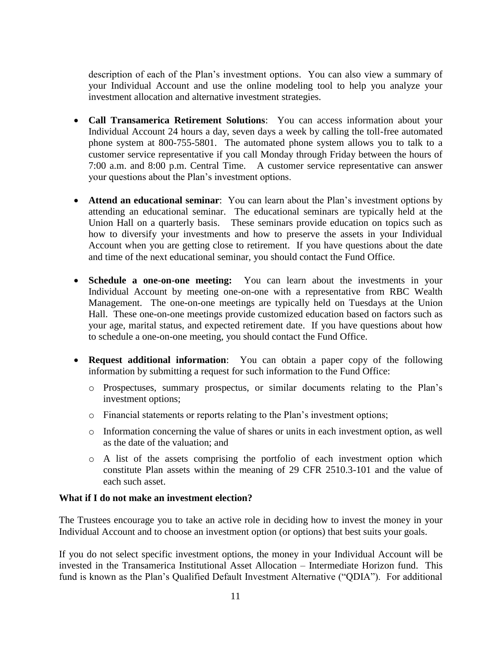description of each of the Plan's investment options. You can also view a summary of your Individual Account and use the online modeling tool to help you analyze your investment allocation and alternative investment strategies.

- **Call Transamerica Retirement Solutions**: You can access information about your Individual Account 24 hours a day, seven days a week by calling the toll-free automated phone system at 800-755-5801. The automated phone system allows you to talk to a customer service representative if you call Monday through Friday between the hours of 7:00 a.m. and 8:00 p.m. Central Time. A customer service representative can answer your questions about the Plan's investment options.
- **Attend an educational seminar**: You can learn about the Plan's investment options by attending an educational seminar. The educational seminars are typically held at the Union Hall on a quarterly basis. These seminars provide education on topics such as how to diversify your investments and how to preserve the assets in your Individual Account when you are getting close to retirement. If you have questions about the date and time of the next educational seminar, you should contact the Fund Office.
- **Schedule a one-on-one meeting:** You can learn about the investments in your Individual Account by meeting one-on-one with a representative from RBC Wealth Management. The one-on-one meetings are typically held on Tuesdays at the Union Hall. These one-on-one meetings provide customized education based on factors such as your age, marital status, and expected retirement date. If you have questions about how to schedule a one-on-one meeting, you should contact the Fund Office.
- **Request additional information**: You can obtain a paper copy of the following information by submitting a request for such information to the Fund Office:
	- o Prospectuses, summary prospectus, or similar documents relating to the Plan's investment options;
	- o Financial statements or reports relating to the Plan's investment options;
	- o Information concerning the value of shares or units in each investment option, as well as the date of the valuation; and
	- o A list of the assets comprising the portfolio of each investment option which constitute Plan assets within the meaning of 29 CFR 2510.3-101 and the value of each such asset.

#### **What if I do not make an investment election?**

The Trustees encourage you to take an active role in deciding how to invest the money in your Individual Account and to choose an investment option (or options) that best suits your goals.

If you do not select specific investment options, the money in your Individual Account will be invested in the Transamerica Institutional Asset Allocation – Intermediate Horizon fund. This fund is known as the Plan's Qualified Default Investment Alternative ("QDIA"). For additional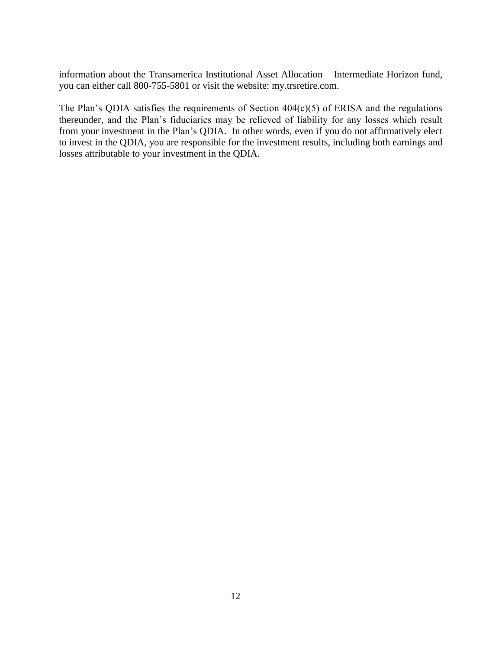information about the Transamerica Institutional Asset Allocation – Intermediate Horizon fund, you can either call 800-755-5801 or visit the website: my.trsretire.com.

The Plan's QDIA satisfies the requirements of Section  $404(c)(5)$  of ERISA and the regulations thereunder, and the Plan's fiduciaries may be relieved of liability for any losses which result from your investment in the Plan's QDIA. In other words, even if you do not affirmatively elect to invest in the QDIA, you are responsible for the investment results, including both earnings and losses attributable to your investment in the QDIA.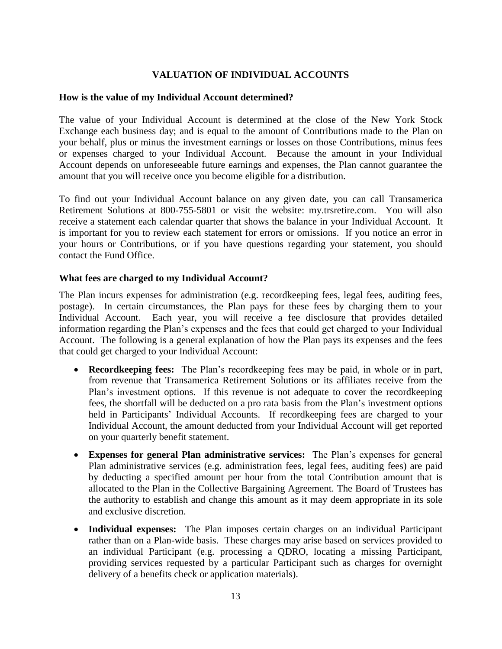### **VALUATION OF INDIVIDUAL ACCOUNTS**

#### **How is the value of my Individual Account determined?**

The value of your Individual Account is determined at the close of the New York Stock Exchange each business day; and is equal to the amount of Contributions made to the Plan on your behalf, plus or minus the investment earnings or losses on those Contributions, minus fees or expenses charged to your Individual Account. Because the amount in your Individual Account depends on unforeseeable future earnings and expenses, the Plan cannot guarantee the amount that you will receive once you become eligible for a distribution.

To find out your Individual Account balance on any given date, you can call Transamerica Retirement Solutions at 800-755-5801 or visit the website: my.trsretire.com. You will also receive a statement each calendar quarter that shows the balance in your Individual Account. It is important for you to review each statement for errors or omissions. If you notice an error in your hours or Contributions, or if you have questions regarding your statement, you should contact the Fund Office.

#### **What fees are charged to my Individual Account?**

The Plan incurs expenses for administration (e.g. recordkeeping fees, legal fees, auditing fees, postage). In certain circumstances, the Plan pays for these fees by charging them to your Individual Account. Each year, you will receive a fee disclosure that provides detailed information regarding the Plan's expenses and the fees that could get charged to your Individual Account. The following is a general explanation of how the Plan pays its expenses and the fees that could get charged to your Individual Account:

- **Recordkeeping fees:** The Plan's recordkeeping fees may be paid, in whole or in part, from revenue that Transamerica Retirement Solutions or its affiliates receive from the Plan's investment options. If this revenue is not adequate to cover the recordkeeping fees, the shortfall will be deducted on a pro rata basis from the Plan's investment options held in Participants' Individual Accounts. If recordkeeping fees are charged to your Individual Account, the amount deducted from your Individual Account will get reported on your quarterly benefit statement.
- **Expenses for general Plan administrative services:** The Plan's expenses for general Plan administrative services (e.g. administration fees, legal fees, auditing fees) are paid by deducting a specified amount per hour from the total Contribution amount that is allocated to the Plan in the Collective Bargaining Agreement. The Board of Trustees has the authority to establish and change this amount as it may deem appropriate in its sole and exclusive discretion.
- **Individual expenses:** The Plan imposes certain charges on an individual Participant rather than on a Plan-wide basis. These charges may arise based on services provided to an individual Participant (e.g. processing a QDRO, locating a missing Participant, providing services requested by a particular Participant such as charges for overnight delivery of a benefits check or application materials).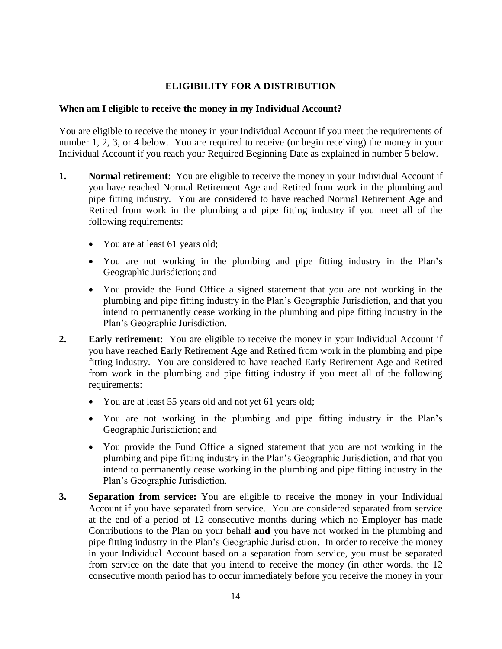#### **ELIGIBILITY FOR A DISTRIBUTION**

#### **When am I eligible to receive the money in my Individual Account?**

You are eligible to receive the money in your Individual Account if you meet the requirements of number 1, 2, 3, or 4 below. You are required to receive (or begin receiving) the money in your Individual Account if you reach your Required Beginning Date as explained in number 5 below.

- **1. Normal retirement**: You are eligible to receive the money in your Individual Account if you have reached Normal Retirement Age and Retired from work in the plumbing and pipe fitting industry. You are considered to have reached Normal Retirement Age and Retired from work in the plumbing and pipe fitting industry if you meet all of the following requirements:
	- You are at least 61 years old;
	- You are not working in the plumbing and pipe fitting industry in the Plan's Geographic Jurisdiction; and
	- You provide the Fund Office a signed statement that you are not working in the plumbing and pipe fitting industry in the Plan's Geographic Jurisdiction, and that you intend to permanently cease working in the plumbing and pipe fitting industry in the Plan's Geographic Jurisdiction.
- **2. Early retirement:** You are eligible to receive the money in your Individual Account if you have reached Early Retirement Age and Retired from work in the plumbing and pipe fitting industry. You are considered to have reached Early Retirement Age and Retired from work in the plumbing and pipe fitting industry if you meet all of the following requirements:
	- You are at least 55 years old and not yet 61 years old;
	- You are not working in the plumbing and pipe fitting industry in the Plan's Geographic Jurisdiction; and
	- You provide the Fund Office a signed statement that you are not working in the plumbing and pipe fitting industry in the Plan's Geographic Jurisdiction, and that you intend to permanently cease working in the plumbing and pipe fitting industry in the Plan's Geographic Jurisdiction.
- **3. Separation from service:** You are eligible to receive the money in your Individual Account if you have separated from service. You are considered separated from service at the end of a period of 12 consecutive months during which no Employer has made Contributions to the Plan on your behalf **and** you have not worked in the plumbing and pipe fitting industry in the Plan's Geographic Jurisdiction. In order to receive the money in your Individual Account based on a separation from service, you must be separated from service on the date that you intend to receive the money (in other words, the 12 consecutive month period has to occur immediately before you receive the money in your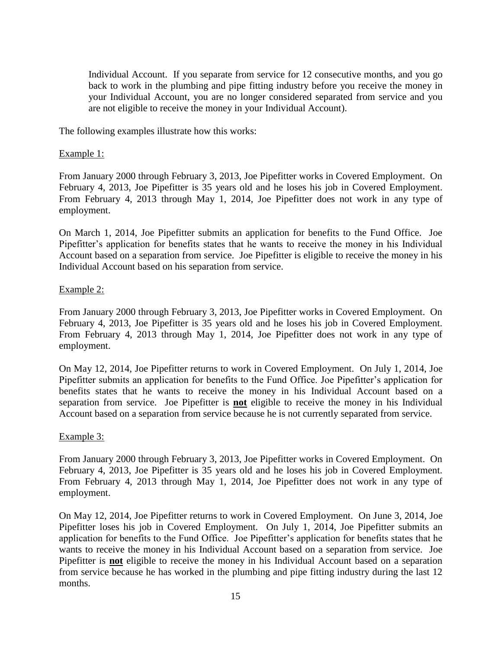Individual Account. If you separate from service for 12 consecutive months, and you go back to work in the plumbing and pipe fitting industry before you receive the money in your Individual Account, you are no longer considered separated from service and you are not eligible to receive the money in your Individual Account).

The following examples illustrate how this works:

#### Example 1:

From January 2000 through February 3, 2013, Joe Pipefitter works in Covered Employment. On February 4, 2013, Joe Pipefitter is 35 years old and he loses his job in Covered Employment. From February 4, 2013 through May 1, 2014, Joe Pipefitter does not work in any type of employment.

On March 1, 2014, Joe Pipefitter submits an application for benefits to the Fund Office. Joe Pipefitter's application for benefits states that he wants to receive the money in his Individual Account based on a separation from service. Joe Pipefitter is eligible to receive the money in his Individual Account based on his separation from service.

#### Example 2:

From January 2000 through February 3, 2013, Joe Pipefitter works in Covered Employment. On February 4, 2013, Joe Pipefitter is 35 years old and he loses his job in Covered Employment. From February 4, 2013 through May 1, 2014, Joe Pipefitter does not work in any type of employment.

On May 12, 2014, Joe Pipefitter returns to work in Covered Employment. On July 1, 2014, Joe Pipefitter submits an application for benefits to the Fund Office. Joe Pipefitter's application for benefits states that he wants to receive the money in his Individual Account based on a separation from service. Joe Pipefitter is **not** eligible to receive the money in his Individual Account based on a separation from service because he is not currently separated from service.

#### Example 3:

From January 2000 through February 3, 2013, Joe Pipefitter works in Covered Employment. On February 4, 2013, Joe Pipefitter is 35 years old and he loses his job in Covered Employment. From February 4, 2013 through May 1, 2014, Joe Pipefitter does not work in any type of employment.

On May 12, 2014, Joe Pipefitter returns to work in Covered Employment. On June 3, 2014, Joe Pipefitter loses his job in Covered Employment. On July 1, 2014, Joe Pipefitter submits an application for benefits to the Fund Office. Joe Pipefitter's application for benefits states that he wants to receive the money in his Individual Account based on a separation from service. Joe Pipefitter is **not** eligible to receive the money in his Individual Account based on a separation from service because he has worked in the plumbing and pipe fitting industry during the last 12 months.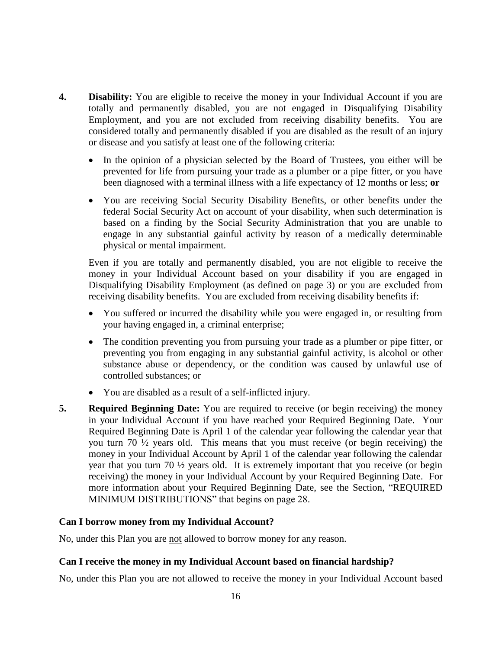- **4. Disability:** You are eligible to receive the money in your Individual Account if you are totally and permanently disabled, you are not engaged in Disqualifying Disability Employment, and you are not excluded from receiving disability benefits. You are considered totally and permanently disabled if you are disabled as the result of an injury or disease and you satisfy at least one of the following criteria:
	- In the opinion of a physician selected by the Board of Trustees, you either will be prevented for life from pursuing your trade as a plumber or a pipe fitter, or you have been diagnosed with a terminal illness with a life expectancy of 12 months or less; **or**
	- You are receiving Social Security Disability Benefits, or other benefits under the federal Social Security Act on account of your disability, when such determination is based on a finding by the Social Security Administration that you are unable to engage in any substantial gainful activity by reason of a medically determinable physical or mental impairment.

Even if you are totally and permanently disabled, you are not eligible to receive the money in your Individual Account based on your disability if you are engaged in Disqualifying Disability Employment (as defined on page 3) or you are excluded from receiving disability benefits. You are excluded from receiving disability benefits if:

- You suffered or incurred the disability while you were engaged in, or resulting from your having engaged in, a criminal enterprise;
- The condition preventing you from pursuing your trade as a plumber or pipe fitter, or preventing you from engaging in any substantial gainful activity, is alcohol or other substance abuse or dependency, or the condition was caused by unlawful use of controlled substances; or
- You are disabled as a result of a self-inflicted injury.
- **5. Required Beginning Date:** You are required to receive (or begin receiving) the money in your Individual Account if you have reached your Required Beginning Date. Your Required Beginning Date is April 1 of the calendar year following the calendar year that you turn 70 ½ years old. This means that you must receive (or begin receiving) the money in your Individual Account by April 1 of the calendar year following the calendar year that you turn 70 ½ years old. It is extremely important that you receive (or begin receiving) the money in your Individual Account by your Required Beginning Date. For more information about your Required Beginning Date, see the Section, "REQUIRED MINIMUM DISTRIBUTIONS" that begins on page 28.

#### **Can I borrow money from my Individual Account?**

No, under this Plan you are not allowed to borrow money for any reason.

### **Can I receive the money in my Individual Account based on financial hardship?**

No, under this Plan you are not allowed to receive the money in your Individual Account based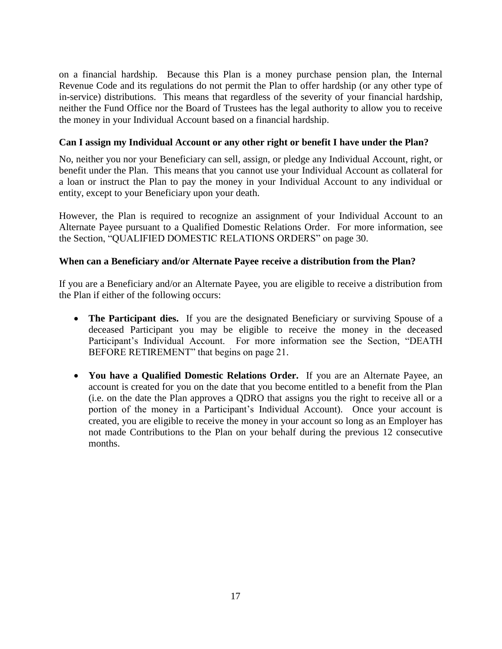on a financial hardship. Because this Plan is a money purchase pension plan, the Internal Revenue Code and its regulations do not permit the Plan to offer hardship (or any other type of in-service) distributions. This means that regardless of the severity of your financial hardship, neither the Fund Office nor the Board of Trustees has the legal authority to allow you to receive the money in your Individual Account based on a financial hardship.

#### **Can I assign my Individual Account or any other right or benefit I have under the Plan?**

No, neither you nor your Beneficiary can sell, assign, or pledge any Individual Account, right, or benefit under the Plan. This means that you cannot use your Individual Account as collateral for a loan or instruct the Plan to pay the money in your Individual Account to any individual or entity, except to your Beneficiary upon your death.

However, the Plan is required to recognize an assignment of your Individual Account to an Alternate Payee pursuant to a Qualified Domestic Relations Order. For more information, see the Section, "QUALIFIED DOMESTIC RELATIONS ORDERS" on page 30.

#### **When can a Beneficiary and/or Alternate Payee receive a distribution from the Plan?**

If you are a Beneficiary and/or an Alternate Payee, you are eligible to receive a distribution from the Plan if either of the following occurs:

- **The Participant dies.** If you are the designated Beneficiary or surviving Spouse of a deceased Participant you may be eligible to receive the money in the deceased Participant's Individual Account. For more information see the Section, "DEATH BEFORE RETIREMENT" that begins on page 21.
- **You have a Qualified Domestic Relations Order.** If you are an Alternate Payee, an account is created for you on the date that you become entitled to a benefit from the Plan (i.e. on the date the Plan approves a QDRO that assigns you the right to receive all or a portion of the money in a Participant's Individual Account). Once your account is created, you are eligible to receive the money in your account so long as an Employer has not made Contributions to the Plan on your behalf during the previous 12 consecutive months.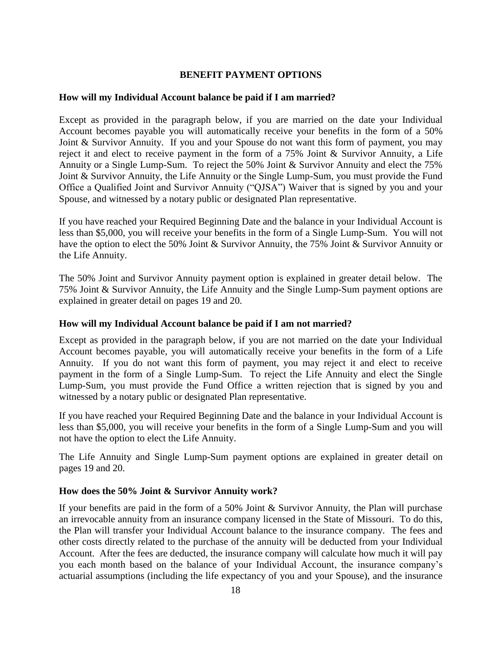#### **BENEFIT PAYMENT OPTIONS**

#### **How will my Individual Account balance be paid if I am married?**

Except as provided in the paragraph below, if you are married on the date your Individual Account becomes payable you will automatically receive your benefits in the form of a 50% Joint & Survivor Annuity. If you and your Spouse do not want this form of payment, you may reject it and elect to receive payment in the form of a 75% Joint & Survivor Annuity, a Life Annuity or a Single Lump-Sum. To reject the 50% Joint & Survivor Annuity and elect the 75% Joint & Survivor Annuity, the Life Annuity or the Single Lump-Sum, you must provide the Fund Office a Qualified Joint and Survivor Annuity ("QJSA") Waiver that is signed by you and your Spouse, and witnessed by a notary public or designated Plan representative.

If you have reached your Required Beginning Date and the balance in your Individual Account is less than \$5,000, you will receive your benefits in the form of a Single Lump-Sum. You will not have the option to elect the 50% Joint & Survivor Annuity, the 75% Joint & Survivor Annuity or the Life Annuity.

The 50% Joint and Survivor Annuity payment option is explained in greater detail below. The 75% Joint & Survivor Annuity, the Life Annuity and the Single Lump-Sum payment options are explained in greater detail on pages 19 and 20.

#### **How will my Individual Account balance be paid if I am not married?**

Except as provided in the paragraph below, if you are not married on the date your Individual Account becomes payable, you will automatically receive your benefits in the form of a Life Annuity. If you do not want this form of payment, you may reject it and elect to receive payment in the form of a Single Lump-Sum. To reject the Life Annuity and elect the Single Lump-Sum, you must provide the Fund Office a written rejection that is signed by you and witnessed by a notary public or designated Plan representative.

If you have reached your Required Beginning Date and the balance in your Individual Account is less than \$5,000, you will receive your benefits in the form of a Single Lump-Sum and you will not have the option to elect the Life Annuity.

The Life Annuity and Single Lump-Sum payment options are explained in greater detail on pages 19 and 20.

#### **How does the 50% Joint & Survivor Annuity work?**

If your benefits are paid in the form of a 50% Joint & Survivor Annuity, the Plan will purchase an irrevocable annuity from an insurance company licensed in the State of Missouri. To do this, the Plan will transfer your Individual Account balance to the insurance company. The fees and other costs directly related to the purchase of the annuity will be deducted from your Individual Account. After the fees are deducted, the insurance company will calculate how much it will pay you each month based on the balance of your Individual Account, the insurance company's actuarial assumptions (including the life expectancy of you and your Spouse), and the insurance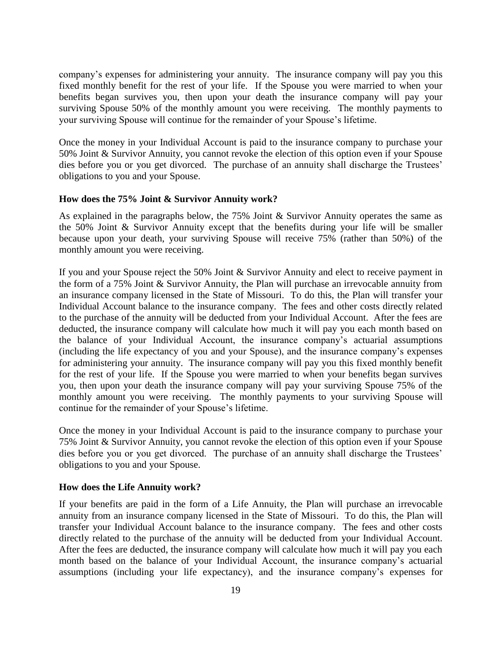company's expenses for administering your annuity. The insurance company will pay you this fixed monthly benefit for the rest of your life. If the Spouse you were married to when your benefits began survives you, then upon your death the insurance company will pay your surviving Spouse 50% of the monthly amount you were receiving. The monthly payments to your surviving Spouse will continue for the remainder of your Spouse's lifetime.

Once the money in your Individual Account is paid to the insurance company to purchase your 50% Joint & Survivor Annuity, you cannot revoke the election of this option even if your Spouse dies before you or you get divorced. The purchase of an annuity shall discharge the Trustees' obligations to you and your Spouse.

#### **How does the 75% Joint & Survivor Annuity work?**

As explained in the paragraphs below, the 75% Joint & Survivor Annuity operates the same as the 50% Joint & Survivor Annuity except that the benefits during your life will be smaller because upon your death, your surviving Spouse will receive 75% (rather than 50%) of the monthly amount you were receiving.

If you and your Spouse reject the 50% Joint & Survivor Annuity and elect to receive payment in the form of a 75% Joint & Survivor Annuity, the Plan will purchase an irrevocable annuity from an insurance company licensed in the State of Missouri. To do this, the Plan will transfer your Individual Account balance to the insurance company. The fees and other costs directly related to the purchase of the annuity will be deducted from your Individual Account. After the fees are deducted, the insurance company will calculate how much it will pay you each month based on the balance of your Individual Account, the insurance company's actuarial assumptions (including the life expectancy of you and your Spouse), and the insurance company's expenses for administering your annuity. The insurance company will pay you this fixed monthly benefit for the rest of your life. If the Spouse you were married to when your benefits began survives you, then upon your death the insurance company will pay your surviving Spouse 75% of the monthly amount you were receiving. The monthly payments to your surviving Spouse will continue for the remainder of your Spouse's lifetime.

Once the money in your Individual Account is paid to the insurance company to purchase your 75% Joint & Survivor Annuity, you cannot revoke the election of this option even if your Spouse dies before you or you get divorced. The purchase of an annuity shall discharge the Trustees' obligations to you and your Spouse.

#### **How does the Life Annuity work?**

If your benefits are paid in the form of a Life Annuity, the Plan will purchase an irrevocable annuity from an insurance company licensed in the State of Missouri. To do this, the Plan will transfer your Individual Account balance to the insurance company. The fees and other costs directly related to the purchase of the annuity will be deducted from your Individual Account. After the fees are deducted, the insurance company will calculate how much it will pay you each month based on the balance of your Individual Account, the insurance company's actuarial assumptions (including your life expectancy), and the insurance company's expenses for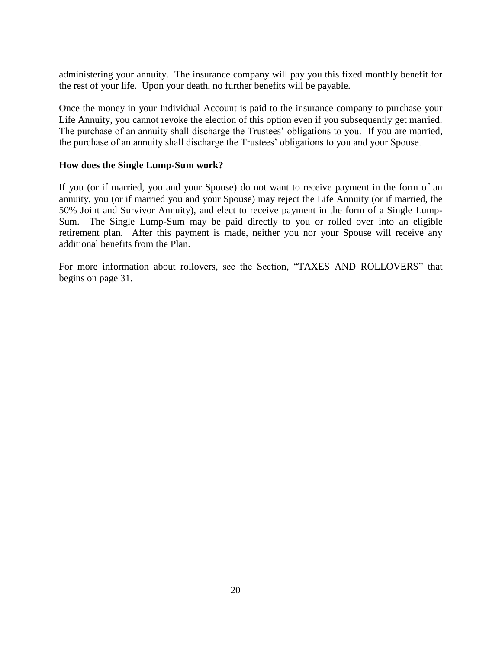administering your annuity. The insurance company will pay you this fixed monthly benefit for the rest of your life. Upon your death, no further benefits will be payable.

Once the money in your Individual Account is paid to the insurance company to purchase your Life Annuity, you cannot revoke the election of this option even if you subsequently get married. The purchase of an annuity shall discharge the Trustees' obligations to you. If you are married, the purchase of an annuity shall discharge the Trustees' obligations to you and your Spouse.

#### **How does the Single Lump-Sum work?**

If you (or if married, you and your Spouse) do not want to receive payment in the form of an annuity, you (or if married you and your Spouse) may reject the Life Annuity (or if married, the 50% Joint and Survivor Annuity), and elect to receive payment in the form of a Single Lump-Sum. The Single Lump-Sum may be paid directly to you or rolled over into an eligible retirement plan. After this payment is made, neither you nor your Spouse will receive any additional benefits from the Plan.

For more information about rollovers, see the Section, "TAXES AND ROLLOVERS" that begins on page 31.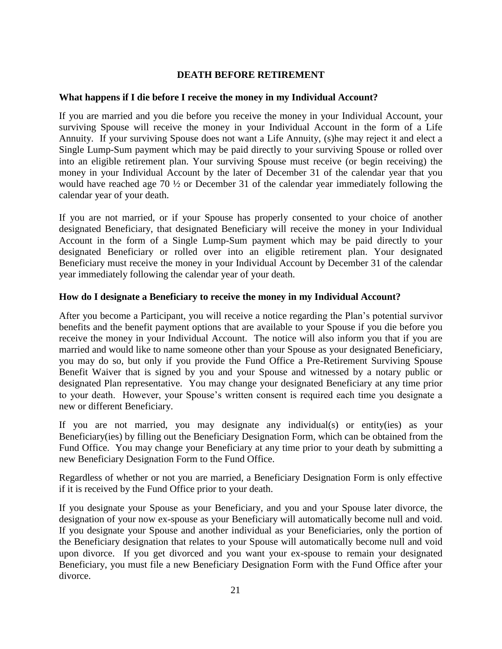#### **DEATH BEFORE RETIREMENT**

#### **What happens if I die before I receive the money in my Individual Account?**

If you are married and you die before you receive the money in your Individual Account, your surviving Spouse will receive the money in your Individual Account in the form of a Life Annuity. If your surviving Spouse does not want a Life Annuity, (s)he may reject it and elect a Single Lump-Sum payment which may be paid directly to your surviving Spouse or rolled over into an eligible retirement plan. Your surviving Spouse must receive (or begin receiving) the money in your Individual Account by the later of December 31 of the calendar year that you would have reached age 70 ½ or December 31 of the calendar year immediately following the calendar year of your death.

If you are not married, or if your Spouse has properly consented to your choice of another designated Beneficiary, that designated Beneficiary will receive the money in your Individual Account in the form of a Single Lump-Sum payment which may be paid directly to your designated Beneficiary or rolled over into an eligible retirement plan. Your designated Beneficiary must receive the money in your Individual Account by December 31 of the calendar year immediately following the calendar year of your death.

#### **How do I designate a Beneficiary to receive the money in my Individual Account?**

After you become a Participant, you will receive a notice regarding the Plan's potential survivor benefits and the benefit payment options that are available to your Spouse if you die before you receive the money in your Individual Account. The notice will also inform you that if you are married and would like to name someone other than your Spouse as your designated Beneficiary, you may do so, but only if you provide the Fund Office a Pre-Retirement Surviving Spouse Benefit Waiver that is signed by you and your Spouse and witnessed by a notary public or designated Plan representative. You may change your designated Beneficiary at any time prior to your death. However, your Spouse's written consent is required each time you designate a new or different Beneficiary.

If you are not married, you may designate any individual(s) or entity(ies) as your Beneficiary(ies) by filling out the Beneficiary Designation Form, which can be obtained from the Fund Office. You may change your Beneficiary at any time prior to your death by submitting a new Beneficiary Designation Form to the Fund Office.

Regardless of whether or not you are married, a Beneficiary Designation Form is only effective if it is received by the Fund Office prior to your death.

If you designate your Spouse as your Beneficiary, and you and your Spouse later divorce, the designation of your now ex-spouse as your Beneficiary will automatically become null and void. If you designate your Spouse and another individual as your Beneficiaries, only the portion of the Beneficiary designation that relates to your Spouse will automatically become null and void upon divorce. If you get divorced and you want your ex-spouse to remain your designated Beneficiary, you must file a new Beneficiary Designation Form with the Fund Office after your divorce.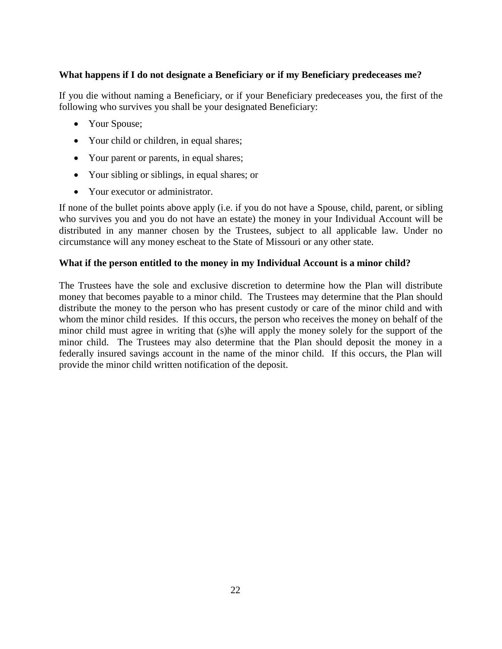#### **What happens if I do not designate a Beneficiary or if my Beneficiary predeceases me?**

If you die without naming a Beneficiary, or if your Beneficiary predeceases you, the first of the following who survives you shall be your designated Beneficiary:

- Your Spouse;
- Your child or children, in equal shares;
- Your parent or parents, in equal shares;
- Your sibling or siblings, in equal shares; or
- Your executor or administrator.

If none of the bullet points above apply (i.e. if you do not have a Spouse, child, parent, or sibling who survives you and you do not have an estate) the money in your Individual Account will be distributed in any manner chosen by the Trustees, subject to all applicable law. Under no circumstance will any money escheat to the State of Missouri or any other state.

#### **What if the person entitled to the money in my Individual Account is a minor child?**

The Trustees have the sole and exclusive discretion to determine how the Plan will distribute money that becomes payable to a minor child. The Trustees may determine that the Plan should distribute the money to the person who has present custody or care of the minor child and with whom the minor child resides. If this occurs, the person who receives the money on behalf of the minor child must agree in writing that (s)he will apply the money solely for the support of the minor child. The Trustees may also determine that the Plan should deposit the money in a federally insured savings account in the name of the minor child. If this occurs, the Plan will provide the minor child written notification of the deposit.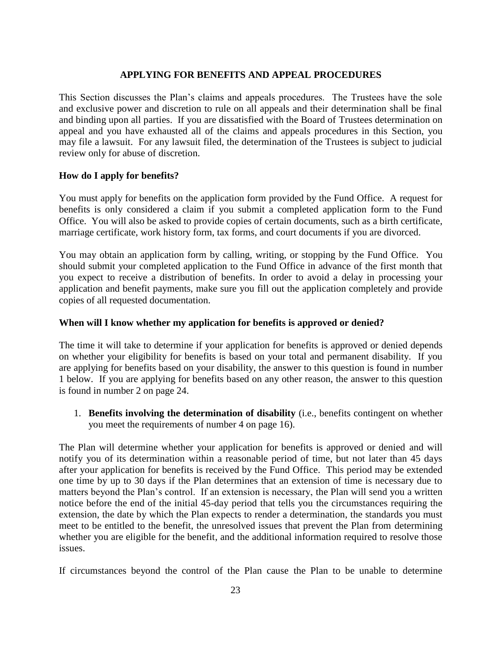#### **APPLYING FOR BENEFITS AND APPEAL PROCEDURES**

This Section discusses the Plan's claims and appeals procedures. The Trustees have the sole and exclusive power and discretion to rule on all appeals and their determination shall be final and binding upon all parties. If you are dissatisfied with the Board of Trustees determination on appeal and you have exhausted all of the claims and appeals procedures in this Section, you may file a lawsuit. For any lawsuit filed, the determination of the Trustees is subject to judicial review only for abuse of discretion.

#### **How do I apply for benefits?**

You must apply for benefits on the application form provided by the Fund Office. A request for benefits is only considered a claim if you submit a completed application form to the Fund Office. You will also be asked to provide copies of certain documents, such as a birth certificate, marriage certificate, work history form, tax forms, and court documents if you are divorced.

You may obtain an application form by calling, writing, or stopping by the Fund Office. You should submit your completed application to the Fund Office in advance of the first month that you expect to receive a distribution of benefits. In order to avoid a delay in processing your application and benefit payments, make sure you fill out the application completely and provide copies of all requested documentation.

#### **When will I know whether my application for benefits is approved or denied?**

The time it will take to determine if your application for benefits is approved or denied depends on whether your eligibility for benefits is based on your total and permanent disability. If you are applying for benefits based on your disability, the answer to this question is found in number 1 below. If you are applying for benefits based on any other reason, the answer to this question is found in number 2 on page 24.

1. **Benefits involving the determination of disability** (i.e., benefits contingent on whether you meet the requirements of number 4 on page 16).

The Plan will determine whether your application for benefits is approved or denied and will notify you of its determination within a reasonable period of time, but not later than 45 days after your application for benefits is received by the Fund Office. This period may be extended one time by up to 30 days if the Plan determines that an extension of time is necessary due to matters beyond the Plan's control. If an extension is necessary, the Plan will send you a written notice before the end of the initial 45-day period that tells you the circumstances requiring the extension, the date by which the Plan expects to render a determination, the standards you must meet to be entitled to the benefit, the unresolved issues that prevent the Plan from determining whether you are eligible for the benefit, and the additional information required to resolve those issues.

If circumstances beyond the control of the Plan cause the Plan to be unable to determine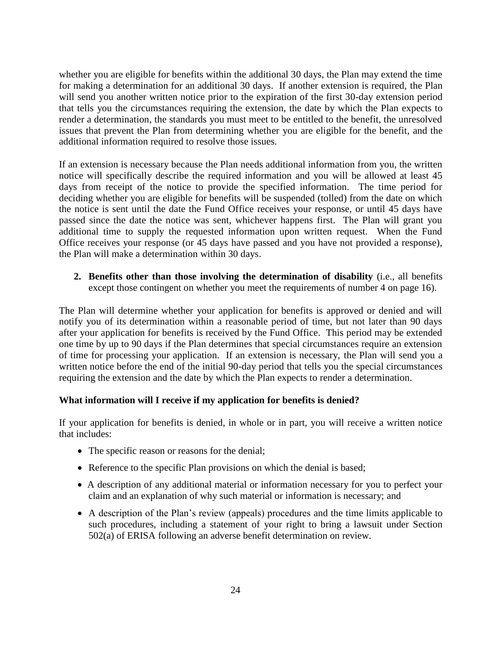whether you are eligible for benefits within the additional 30 days, the Plan may extend the time for making a determination for an additional 30 days. If another extension is required, the Plan will send you another written notice prior to the expiration of the first 30-day extension period that tells you the circumstances requiring the extension, the date by which the Plan expects to render a determination, the standards you must meet to be entitled to the benefit, the unresolved issues that prevent the Plan from determining whether you are eligible for the benefit, and the additional information required to resolve those issues.

If an extension is necessary because the Plan needs additional information from you, the written notice will specifically describe the required information and you will be allowed at least 45 days from receipt of the notice to provide the specified information. The time period for deciding whether you are eligible for benefits will be suspended (tolled) from the date on which the notice is sent until the date the Fund Office receives your response, or until 45 days have passed since the date the notice was sent, whichever happens first. The Plan will grant you additional time to supply the requested information upon written request. When the Fund Office receives your response (or 45 days have passed and you have not provided a response), the Plan will make a determination within 30 days.

**2. Benefits other than those involving the determination of disability** (i.e., all benefits except those contingent on whether you meet the requirements of number 4 on page 16).

The Plan will determine whether your application for benefits is approved or denied and will notify you of its determination within a reasonable period of time, but not later than 90 days after your application for benefits is received by the Fund Office. This period may be extended one time by up to 90 days if the Plan determines that special circumstances require an extension of time for processing your application. If an extension is necessary, the Plan will send you a written notice before the end of the initial 90-day period that tells you the special circumstances requiring the extension and the date by which the Plan expects to render a determination.

#### **What information will I receive if my application for benefits is denied?**

If your application for benefits is denied, in whole or in part, you will receive a written notice that includes:

- The specific reason or reasons for the denial;
- Reference to the specific Plan provisions on which the denial is based;
- A description of any additional material or information necessary for you to perfect your claim and an explanation of why such material or information is necessary; and
- A description of the Plan's review (appeals) procedures and the time limits applicable to such procedures, including a statement of your right to bring a lawsuit under Section 502(a) of ERISA following an adverse benefit determination on review.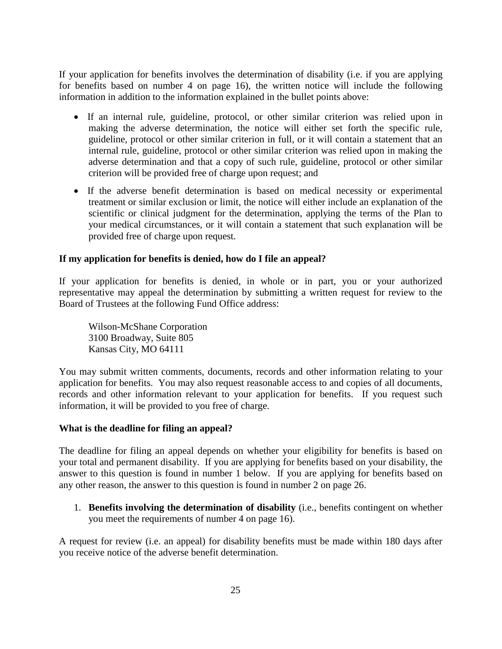If your application for benefits involves the determination of disability (i.e. if you are applying for benefits based on number 4 on page 16), the written notice will include the following information in addition to the information explained in the bullet points above:

- If an internal rule, guideline, protocol, or other similar criterion was relied upon in making the adverse determination, the notice will either set forth the specific rule, guideline, protocol or other similar criterion in full, or it will contain a statement that an internal rule, guideline, protocol or other similar criterion was relied upon in making the adverse determination and that a copy of such rule, guideline, protocol or other similar criterion will be provided free of charge upon request; and
- If the adverse benefit determination is based on medical necessity or experimental treatment or similar exclusion or limit, the notice will either include an explanation of the scientific or clinical judgment for the determination, applying the terms of the Plan to your medical circumstances, or it will contain a statement that such explanation will be provided free of charge upon request.

#### **If my application for benefits is denied, how do I file an appeal?**

If your application for benefits is denied, in whole or in part, you or your authorized representative may appeal the determination by submitting a written request for review to the Board of Trustees at the following Fund Office address:

Wilson-McShane Corporation 3100 Broadway, Suite 805 Kansas City, MO 64111

You may submit written comments, documents, records and other information relating to your application for benefits. You may also request reasonable access to and copies of all documents, records and other information relevant to your application for benefits. If you request such information, it will be provided to you free of charge.

#### **What is the deadline for filing an appeal?**

The deadline for filing an appeal depends on whether your eligibility for benefits is based on your total and permanent disability. If you are applying for benefits based on your disability, the answer to this question is found in number 1 below. If you are applying for benefits based on any other reason, the answer to this question is found in number 2 on page 26.

1. **Benefits involving the determination of disability** (i.e., benefits contingent on whether you meet the requirements of number 4 on page 16).

A request for review (i.e. an appeal) for disability benefits must be made within 180 days after you receive notice of the adverse benefit determination.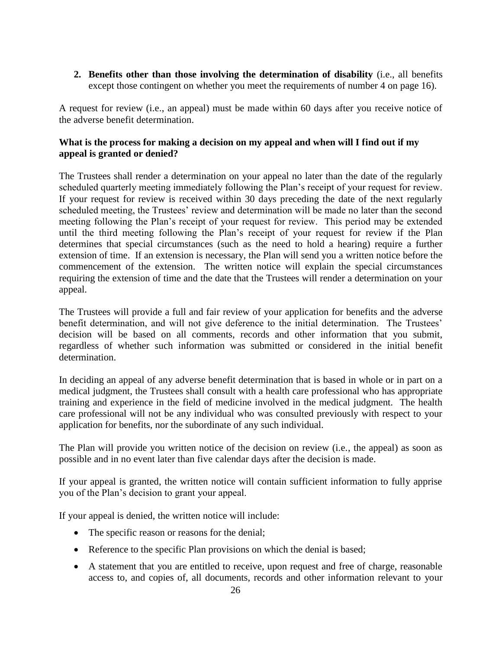**2. Benefits other than those involving the determination of disability** (i.e., all benefits except those contingent on whether you meet the requirements of number 4 on page 16).

A request for review (i.e., an appeal) must be made within 60 days after you receive notice of the adverse benefit determination.

### **What is the process for making a decision on my appeal and when will I find out if my appeal is granted or denied?**

The Trustees shall render a determination on your appeal no later than the date of the regularly scheduled quarterly meeting immediately following the Plan's receipt of your request for review. If your request for review is received within 30 days preceding the date of the next regularly scheduled meeting, the Trustees' review and determination will be made no later than the second meeting following the Plan's receipt of your request for review. This period may be extended until the third meeting following the Plan's receipt of your request for review if the Plan determines that special circumstances (such as the need to hold a hearing) require a further extension of time. If an extension is necessary, the Plan will send you a written notice before the commencement of the extension. The written notice will explain the special circumstances requiring the extension of time and the date that the Trustees will render a determination on your appeal.

The Trustees will provide a full and fair review of your application for benefits and the adverse benefit determination, and will not give deference to the initial determination. The Trustees' decision will be based on all comments, records and other information that you submit, regardless of whether such information was submitted or considered in the initial benefit determination.

In deciding an appeal of any adverse benefit determination that is based in whole or in part on a medical judgment, the Trustees shall consult with a health care professional who has appropriate training and experience in the field of medicine involved in the medical judgment. The health care professional will not be any individual who was consulted previously with respect to your application for benefits, nor the subordinate of any such individual.

The Plan will provide you written notice of the decision on review (i.e., the appeal) as soon as possible and in no event later than five calendar days after the decision is made.

If your appeal is granted, the written notice will contain sufficient information to fully apprise you of the Plan's decision to grant your appeal.

If your appeal is denied, the written notice will include:

- The specific reason or reasons for the denial;
- Reference to the specific Plan provisions on which the denial is based;
- A statement that you are entitled to receive, upon request and free of charge, reasonable access to, and copies of, all documents, records and other information relevant to your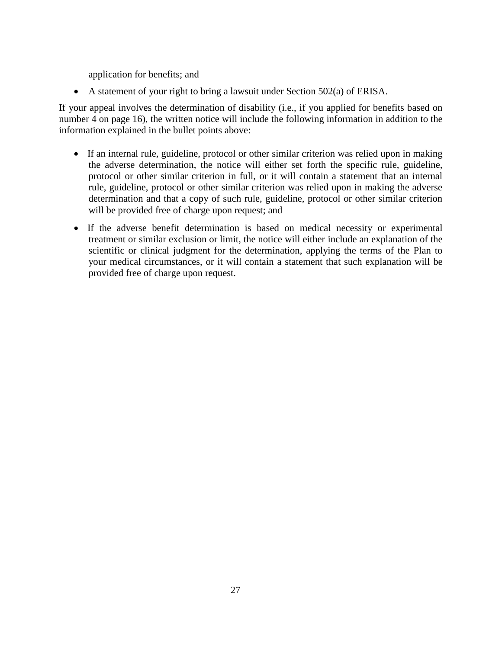application for benefits; and

A statement of your right to bring a lawsuit under Section  $502(a)$  of ERISA.

If your appeal involves the determination of disability (i.e., if you applied for benefits based on number 4 on page 16), the written notice will include the following information in addition to the information explained in the bullet points above:

- If an internal rule, guideline, protocol or other similar criterion was relied upon in making the adverse determination, the notice will either set forth the specific rule, guideline, protocol or other similar criterion in full, or it will contain a statement that an internal rule, guideline, protocol or other similar criterion was relied upon in making the adverse determination and that a copy of such rule, guideline, protocol or other similar criterion will be provided free of charge upon request; and
- If the adverse benefit determination is based on medical necessity or experimental treatment or similar exclusion or limit, the notice will either include an explanation of the scientific or clinical judgment for the determination, applying the terms of the Plan to your medical circumstances, or it will contain a statement that such explanation will be provided free of charge upon request.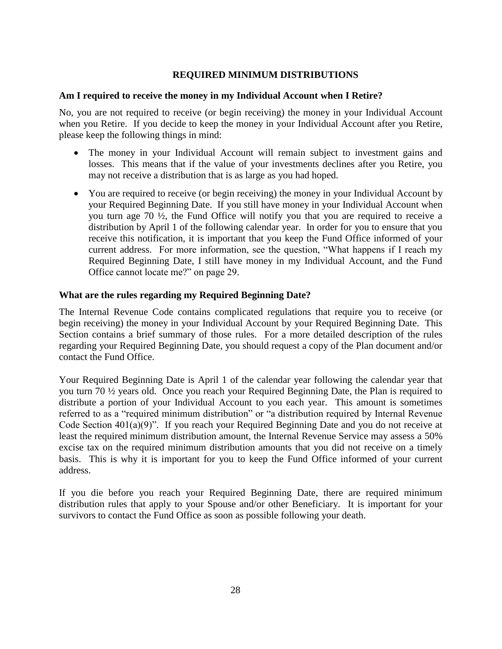#### **REQUIRED MINIMUM DISTRIBUTIONS**

#### **Am I required to receive the money in my Individual Account when I Retire?**

No, you are not required to receive (or begin receiving) the money in your Individual Account when you Retire. If you decide to keep the money in your Individual Account after you Retire, please keep the following things in mind:

- The money in your Individual Account will remain subject to investment gains and losses. This means that if the value of your investments declines after you Retire, you may not receive a distribution that is as large as you had hoped.
- You are required to receive (or begin receiving) the money in your Individual Account by your Required Beginning Date. If you still have money in your Individual Account when you turn age 70 ½, the Fund Office will notify you that you are required to receive a distribution by April 1 of the following calendar year. In order for you to ensure that you receive this notification, it is important that you keep the Fund Office informed of your current address. For more information, see the question, "What happens if I reach my Required Beginning Date, I still have money in my Individual Account, and the Fund Office cannot locate me?" on page 29.

#### **What are the rules regarding my Required Beginning Date?**

The Internal Revenue Code contains complicated regulations that require you to receive (or begin receiving) the money in your Individual Account by your Required Beginning Date. This Section contains a brief summary of those rules. For a more detailed description of the rules regarding your Required Beginning Date, you should request a copy of the Plan document and/or contact the Fund Office.

Your Required Beginning Date is April 1 of the calendar year following the calendar year that you turn 70 ½ years old. Once you reach your Required Beginning Date, the Plan is required to distribute a portion of your Individual Account to you each year. This amount is sometimes referred to as a "required minimum distribution" or "a distribution required by Internal Revenue Code Section 401(a)(9)". If you reach your Required Beginning Date and you do not receive at least the required minimum distribution amount, the Internal Revenue Service may assess a 50% excise tax on the required minimum distribution amounts that you did not receive on a timely basis. This is why it is important for you to keep the Fund Office informed of your current address.

If you die before you reach your Required Beginning Date, there are required minimum distribution rules that apply to your Spouse and/or other Beneficiary. It is important for your survivors to contact the Fund Office as soon as possible following your death.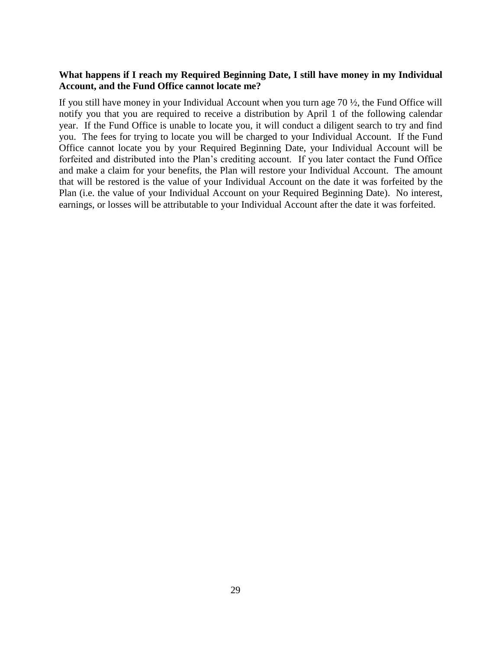#### **What happens if I reach my Required Beginning Date, I still have money in my Individual Account, and the Fund Office cannot locate me?**

If you still have money in your Individual Account when you turn age 70 ½, the Fund Office will notify you that you are required to receive a distribution by April 1 of the following calendar year. If the Fund Office is unable to locate you, it will conduct a diligent search to try and find you. The fees for trying to locate you will be charged to your Individual Account. If the Fund Office cannot locate you by your Required Beginning Date, your Individual Account will be forfeited and distributed into the Plan's crediting account. If you later contact the Fund Office and make a claim for your benefits, the Plan will restore your Individual Account. The amount that will be restored is the value of your Individual Account on the date it was forfeited by the Plan (i.e. the value of your Individual Account on your Required Beginning Date). No interest, earnings, or losses will be attributable to your Individual Account after the date it was forfeited.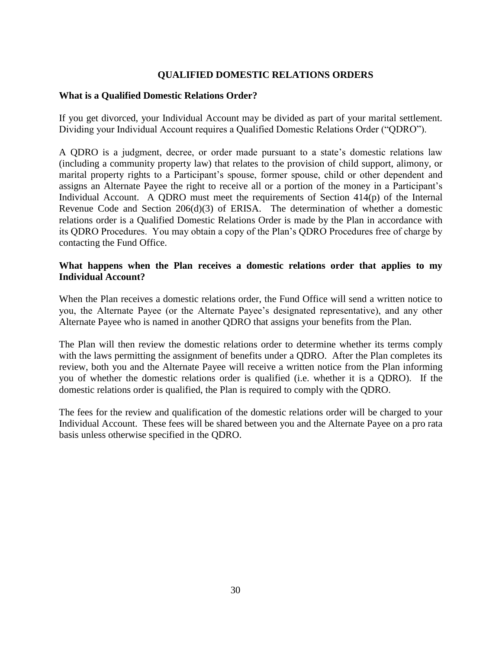#### **QUALIFIED DOMESTIC RELATIONS ORDERS**

#### **What is a Qualified Domestic Relations Order?**

If you get divorced, your Individual Account may be divided as part of your marital settlement. Dividing your Individual Account requires a Qualified Domestic Relations Order ("QDRO").

A QDRO is a judgment, decree, or order made pursuant to a state's domestic relations law (including a community property law) that relates to the provision of child support, alimony, or marital property rights to a Participant's spouse, former spouse, child or other dependent and assigns an Alternate Payee the right to receive all or a portion of the money in a Participant's Individual Account. A QDRO must meet the requirements of Section  $414(p)$  of the Internal Revenue Code and Section 206(d)(3) of ERISA. The determination of whether a domestic relations order is a Qualified Domestic Relations Order is made by the Plan in accordance with its QDRO Procedures. You may obtain a copy of the Plan's QDRO Procedures free of charge by contacting the Fund Office.

#### **What happens when the Plan receives a domestic relations order that applies to my Individual Account?**

When the Plan receives a domestic relations order, the Fund Office will send a written notice to you, the Alternate Payee (or the Alternate Payee's designated representative), and any other Alternate Payee who is named in another QDRO that assigns your benefits from the Plan.

The Plan will then review the domestic relations order to determine whether its terms comply with the laws permitting the assignment of benefits under a QDRO. After the Plan completes its review, both you and the Alternate Payee will receive a written notice from the Plan informing you of whether the domestic relations order is qualified (i.e. whether it is a QDRO). If the domestic relations order is qualified, the Plan is required to comply with the QDRO.

The fees for the review and qualification of the domestic relations order will be charged to your Individual Account. These fees will be shared between you and the Alternate Payee on a pro rata basis unless otherwise specified in the QDRO.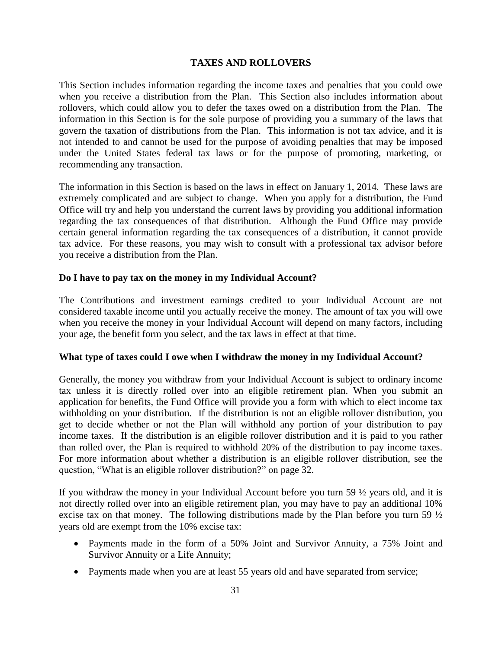#### **TAXES AND ROLLOVERS**

This Section includes information regarding the income taxes and penalties that you could owe when you receive a distribution from the Plan. This Section also includes information about rollovers, which could allow you to defer the taxes owed on a distribution from the Plan. The information in this Section is for the sole purpose of providing you a summary of the laws that govern the taxation of distributions from the Plan. This information is not tax advice, and it is not intended to and cannot be used for the purpose of avoiding penalties that may be imposed under the United States federal tax laws or for the purpose of promoting, marketing, or recommending any transaction.

The information in this Section is based on the laws in effect on January 1, 2014. These laws are extremely complicated and are subject to change. When you apply for a distribution, the Fund Office will try and help you understand the current laws by providing you additional information regarding the tax consequences of that distribution. Although the Fund Office may provide certain general information regarding the tax consequences of a distribution, it cannot provide tax advice. For these reasons, you may wish to consult with a professional tax advisor before you receive a distribution from the Plan.

#### **Do I have to pay tax on the money in my Individual Account?**

The Contributions and investment earnings credited to your Individual Account are not considered taxable income until you actually receive the money. The amount of tax you will owe when you receive the money in your Individual Account will depend on many factors, including your age, the benefit form you select, and the tax laws in effect at that time.

#### **What type of taxes could I owe when I withdraw the money in my Individual Account?**

Generally, the money you withdraw from your Individual Account is subject to ordinary income tax unless it is directly rolled over into an eligible retirement plan. When you submit an application for benefits, the Fund Office will provide you a form with which to elect income tax withholding on your distribution. If the distribution is not an eligible rollover distribution, you get to decide whether or not the Plan will withhold any portion of your distribution to pay income taxes. If the distribution is an eligible rollover distribution and it is paid to you rather than rolled over, the Plan is required to withhold 20% of the distribution to pay income taxes. For more information about whether a distribution is an eligible rollover distribution, see the question, "What is an eligible rollover distribution?" on page 32.

If you withdraw the money in your Individual Account before you turn 59 ½ years old, and it is not directly rolled over into an eligible retirement plan, you may have to pay an additional 10% excise tax on that money. The following distributions made by the Plan before you turn 59  $\frac{1}{2}$ years old are exempt from the 10% excise tax:

- Payments made in the form of a 50% Joint and Survivor Annuity, a 75% Joint and Survivor Annuity or a Life Annuity;
- Payments made when you are at least 55 years old and have separated from service;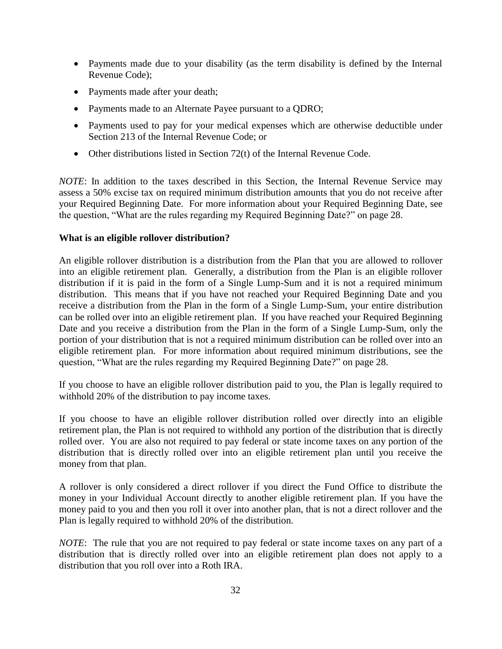- Payments made due to your disability (as the term disability is defined by the Internal Revenue Code);
- Payments made after your death;
- Payments made to an Alternate Payee pursuant to a QDRO;
- Payments used to pay for your medical expenses which are otherwise deductible under Section 213 of the Internal Revenue Code; or
- Other distributions listed in Section 72(t) of the Internal Revenue Code.

*NOTE*: In addition to the taxes described in this Section, the Internal Revenue Service may assess a 50% excise tax on required minimum distribution amounts that you do not receive after your Required Beginning Date. For more information about your Required Beginning Date, see the question, "What are the rules regarding my Required Beginning Date?" on page 28.

#### **What is an eligible rollover distribution?**

An eligible rollover distribution is a distribution from the Plan that you are allowed to rollover into an eligible retirement plan. Generally, a distribution from the Plan is an eligible rollover distribution if it is paid in the form of a Single Lump-Sum and it is not a required minimum distribution. This means that if you have not reached your Required Beginning Date and you receive a distribution from the Plan in the form of a Single Lump-Sum, your entire distribution can be rolled over into an eligible retirement plan. If you have reached your Required Beginning Date and you receive a distribution from the Plan in the form of a Single Lump-Sum, only the portion of your distribution that is not a required minimum distribution can be rolled over into an eligible retirement plan. For more information about required minimum distributions, see the question, "What are the rules regarding my Required Beginning Date?" on page 28.

If you choose to have an eligible rollover distribution paid to you, the Plan is legally required to withhold 20% of the distribution to pay income taxes.

If you choose to have an eligible rollover distribution rolled over directly into an eligible retirement plan, the Plan is not required to withhold any portion of the distribution that is directly rolled over. You are also not required to pay federal or state income taxes on any portion of the distribution that is directly rolled over into an eligible retirement plan until you receive the money from that plan.

A rollover is only considered a direct rollover if you direct the Fund Office to distribute the money in your Individual Account directly to another eligible retirement plan. If you have the money paid to you and then you roll it over into another plan, that is not a direct rollover and the Plan is legally required to withhold 20% of the distribution.

*NOTE*: The rule that you are not required to pay federal or state income taxes on any part of a distribution that is directly rolled over into an eligible retirement plan does not apply to a distribution that you roll over into a Roth IRA.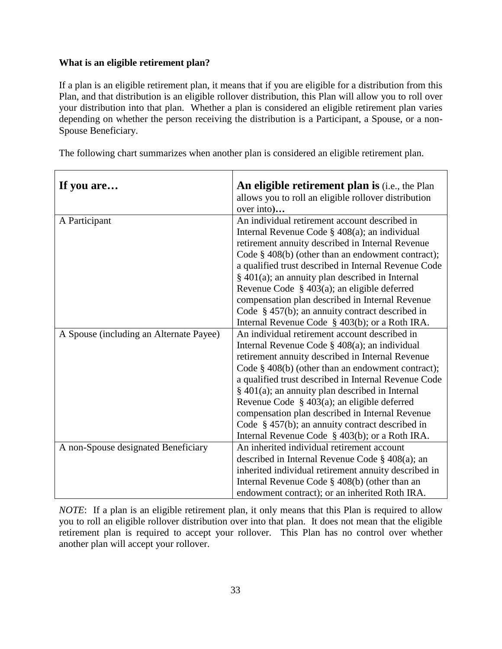#### **What is an eligible retirement plan?**

If a plan is an eligible retirement plan, it means that if you are eligible for a distribution from this Plan, and that distribution is an eligible rollover distribution, this Plan will allow you to roll over your distribution into that plan. Whether a plan is considered an eligible retirement plan varies depending on whether the person receiving the distribution is a Participant, a Spouse, or a non-Spouse Beneficiary.

The following chart summarizes when another plan is considered an eligible retirement plan.

| If you are                              | An eligible retirement plan is (i.e., the Plan<br>allows you to roll an eligible rollover distribution<br>over into)                                                                                                                                                                                                                                                                                                                                                                                                                                                                            |
|-----------------------------------------|-------------------------------------------------------------------------------------------------------------------------------------------------------------------------------------------------------------------------------------------------------------------------------------------------------------------------------------------------------------------------------------------------------------------------------------------------------------------------------------------------------------------------------------------------------------------------------------------------|
| A Participant                           | An individual retirement account described in<br>Internal Revenue Code $\S$ 408(a); an individual<br>retirement annuity described in Internal Revenue<br>Code $\S$ 408(b) (other than an endowment contract);<br>a qualified trust described in Internal Revenue Code<br>§ 401(a); an annuity plan described in Internal<br>Revenue Code $\S$ 403(a); an eligible deferred<br>compensation plan described in Internal Revenue<br>Code $\S$ 457(b); an annuity contract described in                                                                                                             |
| A Spouse (including an Alternate Payee) | Internal Revenue Code $\S$ 403(b); or a Roth IRA.<br>An individual retirement account described in<br>Internal Revenue Code $\S$ 408(a); an individual<br>retirement annuity described in Internal Revenue<br>Code $\S$ 408(b) (other than an endowment contract);<br>a qualified trust described in Internal Revenue Code<br>$§$ 401(a); an annuity plan described in Internal<br>Revenue Code $\S$ 403(a); an eligible deferred<br>compensation plan described in Internal Revenue<br>Code $\S$ 457(b); an annuity contract described in<br>Internal Revenue Code $\S$ 403(b); or a Roth IRA. |
| A non-Spouse designated Beneficiary     | An inherited individual retirement account<br>described in Internal Revenue Code § 408(a); an<br>inherited individual retirement annuity described in<br>Internal Revenue Code $\S$ 408(b) (other than an<br>endowment contract); or an inherited Roth IRA.                                                                                                                                                                                                                                                                                                                                     |

*NOTE*: If a plan is an eligible retirement plan, it only means that this Plan is required to allow you to roll an eligible rollover distribution over into that plan. It does not mean that the eligible retirement plan is required to accept your rollover. This Plan has no control over whether another plan will accept your rollover.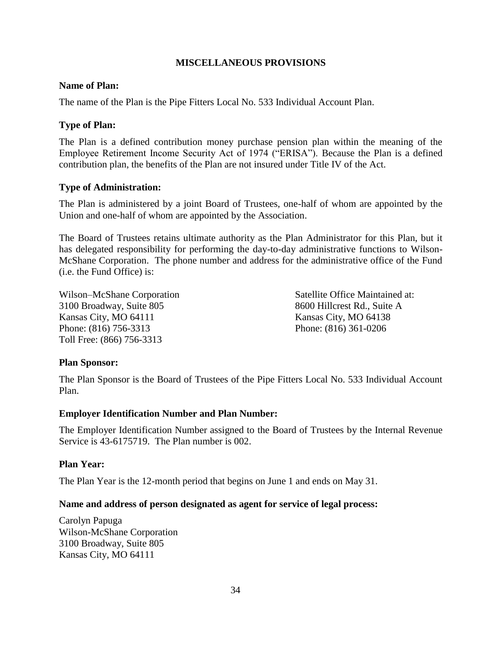#### **MISCELLANEOUS PROVISIONS**

#### **Name of Plan:**

The name of the Plan is the Pipe Fitters Local No. 533 Individual Account Plan.

#### **Type of Plan:**

The Plan is a defined contribution money purchase pension plan within the meaning of the Employee Retirement Income Security Act of 1974 ("ERISA"). Because the Plan is a defined contribution plan, the benefits of the Plan are not insured under Title IV of the Act.

#### **Type of Administration:**

The Plan is administered by a joint Board of Trustees, one-half of whom are appointed by the Union and one-half of whom are appointed by the Association.

The Board of Trustees retains ultimate authority as the Plan Administrator for this Plan, but it has delegated responsibility for performing the day-to-day administrative functions to Wilson-McShane Corporation. The phone number and address for the administrative office of the Fund (i.e. the Fund Office) is:

3100 Broadway, Suite 805 8600 Hillcrest Rd., Suite A Kansas City, MO 64111 Kansas City, MO 64138 Phone: (816) 756-3313 Phone: (816) 361-0206 Toll Free: (866) 756-3313

Wilson–McShane Corporation Satellite Office Maintained at:

#### **Plan Sponsor:**

The Plan Sponsor is the Board of Trustees of the Pipe Fitters Local No. 533 Individual Account Plan.

#### **Employer Identification Number and Plan Number:**

The Employer Identification Number assigned to the Board of Trustees by the Internal Revenue Service is 43-6175719.The Plan number is 002.

#### **Plan Year:**

The Plan Year is the 12-month period that begins on June 1 and ends on May 31.

#### **Name and address of person designated as agent for service of legal process:**

Carolyn Papuga Wilson-McShane Corporation 3100 Broadway, Suite 805 Kansas City, MO 64111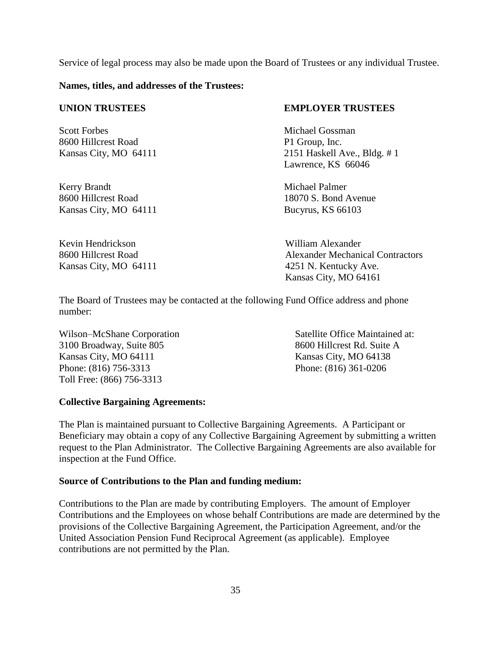Service of legal process may also be made upon the Board of Trustees or any individual Trustee.

**Names, titles, and addresses of the Trustees:**

Scott Forbes Michael Gossman 8600 Hillcrest Road P1 Group, Inc.

Kerry Brandt Michael Palmer 8600 Hillcrest Road 18070 S. Bond Avenue Kansas City, MO 64111 Bucyrus, KS 66103

Kevin Hendrickson William Alexander Kansas City, MO 64111 4251 N. Kentucky Ave.

#### **UNION TRUSTEES EMPLOYER TRUSTEES**

Kansas City, MO 64111 2151 Haskell Ave., Bldg. # 1 Lawrence, KS 66046

8600 Hillcrest Road Alexander Mechanical Contractors Kansas City, MO 64161

The Board of Trustees may be contacted at the following Fund Office address and phone number:

3100 Broadway, Suite 805 8600 Hillcrest Rd. Suite A Kansas City, MO 64111 Kansas City, MO 64138 Phone: (816) 756-3313 Phone: (816) 361-0206 Toll Free: (866) 756-3313

Wilson–McShane Corporation Satellite Office Maintained at:

#### **Collective Bargaining Agreements:**

The Plan is maintained pursuant to Collective Bargaining Agreements. A Participant or Beneficiary may obtain a copy of any Collective Bargaining Agreement by submitting a written request to the Plan Administrator. The Collective Bargaining Agreements are also available for inspection at the Fund Office.

#### **Source of Contributions to the Plan and funding medium:**

Contributions to the Plan are made by contributing Employers. The amount of Employer Contributions and the Employees on whose behalf Contributions are made are determined by the provisions of the Collective Bargaining Agreement, the Participation Agreement, and/or the United Association Pension Fund Reciprocal Agreement (as applicable). Employee contributions are not permitted by the Plan.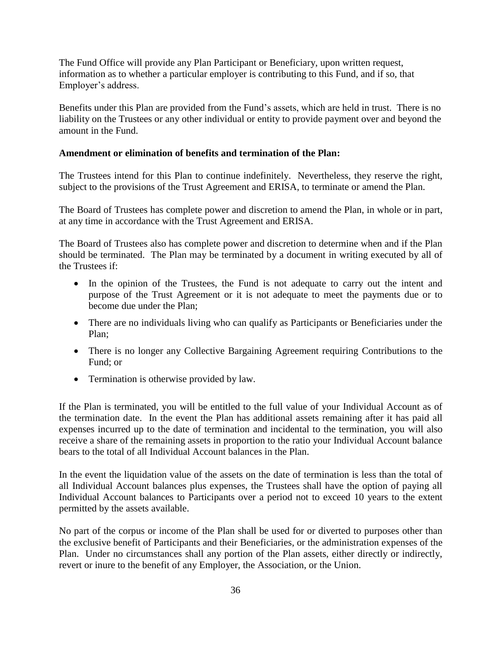The Fund Office will provide any Plan Participant or Beneficiary, upon written request, information as to whether a particular employer is contributing to this Fund, and if so, that Employer's address.

Benefits under this Plan are provided from the Fund's assets, which are held in trust. There is no liability on the Trustees or any other individual or entity to provide payment over and beyond the amount in the Fund.

#### **Amendment or elimination of benefits and termination of the Plan:**

The Trustees intend for this Plan to continue indefinitely. Nevertheless, they reserve the right, subject to the provisions of the Trust Agreement and ERISA, to terminate or amend the Plan.

The Board of Trustees has complete power and discretion to amend the Plan, in whole or in part, at any time in accordance with the Trust Agreement and ERISA.

The Board of Trustees also has complete power and discretion to determine when and if the Plan should be terminated. The Plan may be terminated by a document in writing executed by all of the Trustees if:

- In the opinion of the Trustees, the Fund is not adequate to carry out the intent and purpose of the Trust Agreement or it is not adequate to meet the payments due or to become due under the Plan;
- There are no individuals living who can qualify as Participants or Beneficiaries under the Plan;
- There is no longer any Collective Bargaining Agreement requiring Contributions to the Fund; or
- Termination is otherwise provided by law.

If the Plan is terminated, you will be entitled to the full value of your Individual Account as of the termination date. In the event the Plan has additional assets remaining after it has paid all expenses incurred up to the date of termination and incidental to the termination, you will also receive a share of the remaining assets in proportion to the ratio your Individual Account balance bears to the total of all Individual Account balances in the Plan.

In the event the liquidation value of the assets on the date of termination is less than the total of all Individual Account balances plus expenses, the Trustees shall have the option of paying all Individual Account balances to Participants over a period not to exceed 10 years to the extent permitted by the assets available.

No part of the corpus or income of the Plan shall be used for or diverted to purposes other than the exclusive benefit of Participants and their Beneficiaries, or the administration expenses of the Plan. Under no circumstances shall any portion of the Plan assets, either directly or indirectly, revert or inure to the benefit of any Employer, the Association, or the Union.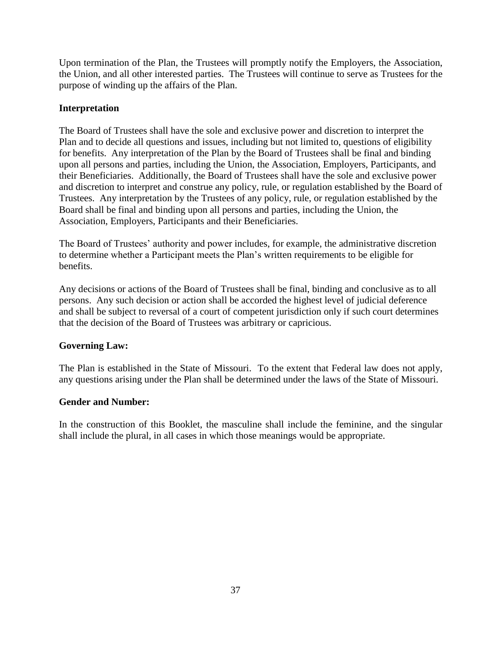Upon termination of the Plan, the Trustees will promptly notify the Employers, the Association, the Union, and all other interested parties. The Trustees will continue to serve as Trustees for the purpose of winding up the affairs of the Plan.

#### **Interpretation**

The Board of Trustees shall have the sole and exclusive power and discretion to interpret the Plan and to decide all questions and issues, including but not limited to, questions of eligibility for benefits. Any interpretation of the Plan by the Board of Trustees shall be final and binding upon all persons and parties, including the Union, the Association, Employers, Participants, and their Beneficiaries. Additionally, the Board of Trustees shall have the sole and exclusive power and discretion to interpret and construe any policy, rule, or regulation established by the Board of Trustees. Any interpretation by the Trustees of any policy, rule, or regulation established by the Board shall be final and binding upon all persons and parties, including the Union, the Association, Employers, Participants and their Beneficiaries.

The Board of Trustees' authority and power includes, for example, the administrative discretion to determine whether a Participant meets the Plan's written requirements to be eligible for benefits.

Any decisions or actions of the Board of Trustees shall be final, binding and conclusive as to all persons. Any such decision or action shall be accorded the highest level of judicial deference and shall be subject to reversal of a court of competent jurisdiction only if such court determines that the decision of the Board of Trustees was arbitrary or capricious.

#### **Governing Law:**

The Plan is established in the State of Missouri. To the extent that Federal law does not apply, any questions arising under the Plan shall be determined under the laws of the State of Missouri.

#### **Gender and Number:**

In the construction of this Booklet, the masculine shall include the feminine, and the singular shall include the plural, in all cases in which those meanings would be appropriate.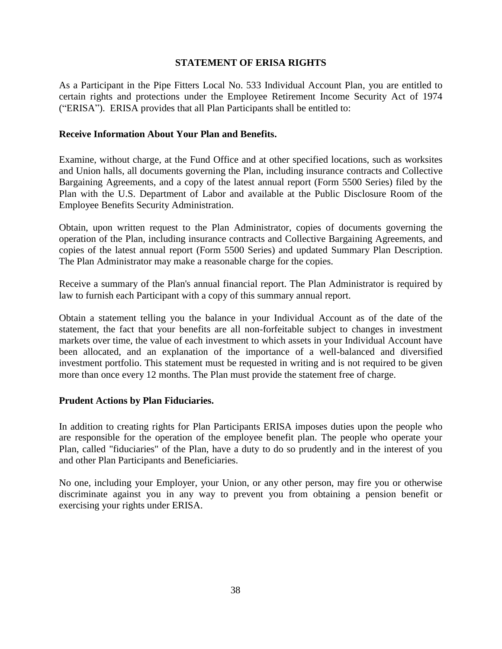#### **STATEMENT OF ERISA RIGHTS**

As a Participant in the Pipe Fitters Local No. 533 Individual Account Plan, you are entitled to certain rights and protections under the Employee Retirement Income Security Act of 1974 ("ERISA"). ERISA provides that all Plan Participants shall be entitled to:

#### **Receive Information About Your Plan and Benefits.**

Examine, without charge, at the Fund Office and at other specified locations, such as worksites and Union halls, all documents governing the Plan, including insurance contracts and Collective Bargaining Agreements, and a copy of the latest annual report (Form 5500 Series) filed by the Plan with the U.S. Department of Labor and available at the Public Disclosure Room of the Employee Benefits Security Administration.

Obtain, upon written request to the Plan Administrator, copies of documents governing the operation of the Plan, including insurance contracts and Collective Bargaining Agreements, and copies of the latest annual report (Form 5500 Series) and updated Summary Plan Description. The Plan Administrator may make a reasonable charge for the copies.

Receive a summary of the Plan's annual financial report. The Plan Administrator is required by law to furnish each Participant with a copy of this summary annual report.

Obtain a statement telling you the balance in your Individual Account as of the date of the statement, the fact that your benefits are all non-forfeitable subject to changes in investment markets over time, the value of each investment to which assets in your Individual Account have been allocated, and an explanation of the importance of a well-balanced and diversified investment portfolio. This statement must be requested in writing and is not required to be given more than once every 12 months. The Plan must provide the statement free of charge.

#### **Prudent Actions by Plan Fiduciaries.**

In addition to creating rights for Plan Participants ERISA imposes duties upon the people who are responsible for the operation of the employee benefit plan. The people who operate your Plan, called "fiduciaries" of the Plan, have a duty to do so prudently and in the interest of you and other Plan Participants and Beneficiaries.

No one, including your Employer, your Union, or any other person, may fire you or otherwise discriminate against you in any way to prevent you from obtaining a pension benefit or exercising your rights under ERISA.